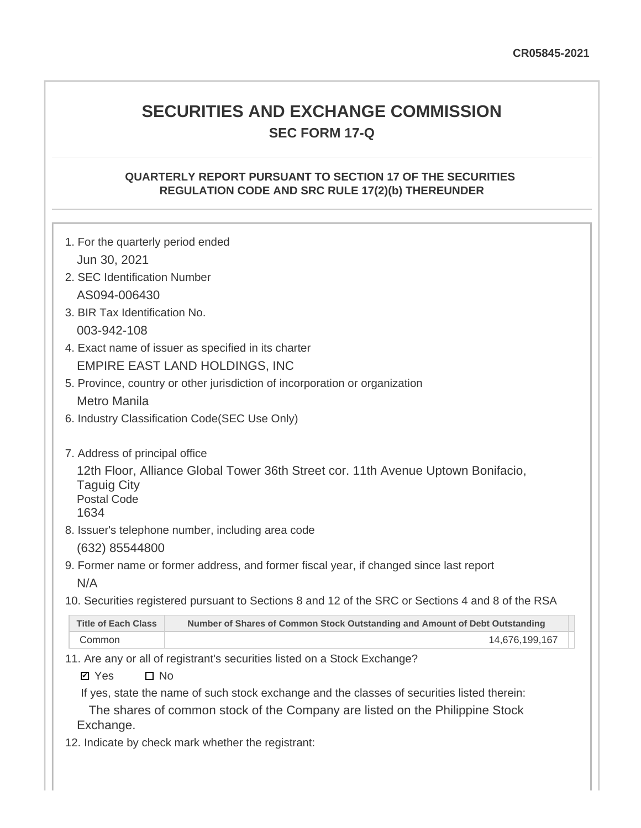# **SECURITIES AND EXCHANGE COMMISSION SEC FORM 17-Q**

# **QUARTERLY REPORT PURSUANT TO SECTION 17 OF THE SECURITIES REGULATION CODE AND SRC RULE 17(2)(b) THEREUNDER**

| 1. For the quarterly period ended                                  |                                                                                                                                                                          |
|--------------------------------------------------------------------|--------------------------------------------------------------------------------------------------------------------------------------------------------------------------|
| Jun 30, 2021                                                       |                                                                                                                                                                          |
| 2. SEC Identification Number                                       |                                                                                                                                                                          |
| AS094-006430                                                       |                                                                                                                                                                          |
| 3. BIR Tax Identification No.                                      |                                                                                                                                                                          |
| 003-942-108                                                        |                                                                                                                                                                          |
|                                                                    | 4. Exact name of issuer as specified in its charter                                                                                                                      |
|                                                                    | <b>EMPIRE EAST LAND HOLDINGS, INC</b>                                                                                                                                    |
|                                                                    | 5. Province, country or other jurisdiction of incorporation or organization                                                                                              |
| <b>Metro Manila</b>                                                |                                                                                                                                                                          |
|                                                                    | 6. Industry Classification Code(SEC Use Only)                                                                                                                            |
| <b>Taguig City</b><br><b>Postal Code</b><br>1634<br>(632) 85544800 | 12th Floor, Alliance Global Tower 36th Street cor. 11th Avenue Uptown Bonifacio,<br>8. Issuer's telephone number, including area code                                    |
|                                                                    | 9. Former name or former address, and former fiscal year, if changed since last report                                                                                   |
| N/A                                                                |                                                                                                                                                                          |
|                                                                    | 10. Securities registered pursuant to Sections 8 and 12 of the SRC or Sections 4 and 8 of the RSA                                                                        |
| <b>Title of Each Class</b>                                         | Number of Shares of Common Stock Outstanding and Amount of Debt Outstanding                                                                                              |
| Common                                                             | 14,676,199,167                                                                                                                                                           |
| $\Box$ No<br><b>Ø</b> Yes                                          | 11. Are any or all of registrant's securities listed on a Stock Exchange?<br>If yes, state the name of such stock exchange and the classes of securities listed therein: |

The shares of common stock of the Company are listed on the Philippine Stock Exchange.

12. Indicate by check mark whether the registrant: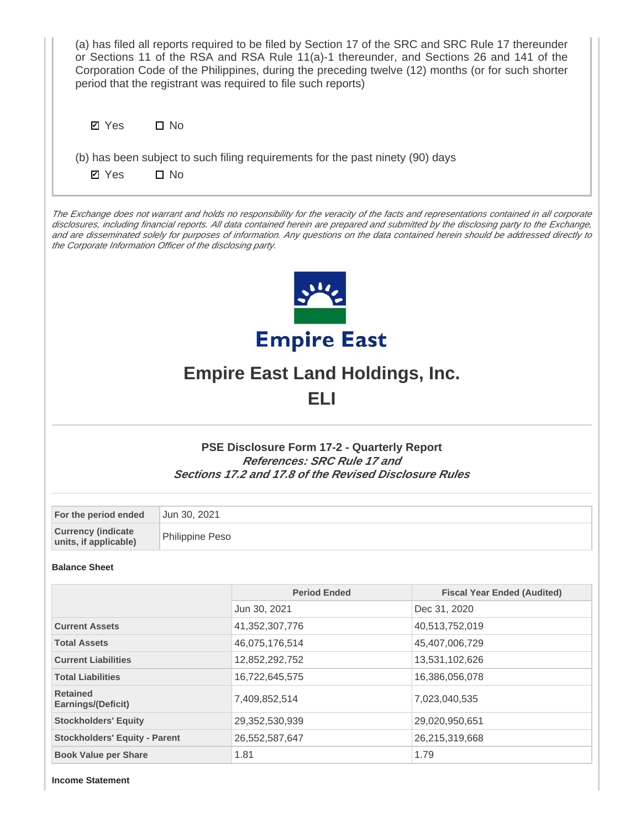| (a) has filed all reports required to be filed by Section 17 of the SRC and SRC Rule 17 thereunder<br>or Sections 11 of the RSA and RSA Rule 11(a)-1 thereunder, and Sections 26 and 141 of the<br>Corporation Code of the Philippines, during the preceding twelve (12) months (or for such shorter<br>period that the registrant was required to file such reports)                                                                                                                  |                 |                                                                                                                                                    |                                    |  |  |  |  |  |  |
|----------------------------------------------------------------------------------------------------------------------------------------------------------------------------------------------------------------------------------------------------------------------------------------------------------------------------------------------------------------------------------------------------------------------------------------------------------------------------------------|-----------------|----------------------------------------------------------------------------------------------------------------------------------------------------|------------------------------------|--|--|--|--|--|--|
| $\square$ No<br><b>Ø</b> Yes                                                                                                                                                                                                                                                                                                                                                                                                                                                           |                 |                                                                                                                                                    |                                    |  |  |  |  |  |  |
| (b) has been subject to such filing requirements for the past ninety (90) days<br>$\square$ No<br><b>Ø</b> Yes                                                                                                                                                                                                                                                                                                                                                                         |                 |                                                                                                                                                    |                                    |  |  |  |  |  |  |
| The Exchange does not warrant and holds no responsibility for the veracity of the facts and representations contained in all corporate<br>disclosures, including financial reports. All data contained herein are prepared and submitted by the disclosing party to the Exchange,<br>and are disseminated solely for purposes of information. Any questions on the data contained herein should be addressed directly to<br>the Corporate Information Officer of the disclosing party. |                 |                                                                                                                                                    |                                    |  |  |  |  |  |  |
|                                                                                                                                                                                                                                                                                                                                                                                                                                                                                        |                 |                                                                                                                                                    |                                    |  |  |  |  |  |  |
|                                                                                                                                                                                                                                                                                                                                                                                                                                                                                        |                 | <b>Empire East</b>                                                                                                                                 |                                    |  |  |  |  |  |  |
|                                                                                                                                                                                                                                                                                                                                                                                                                                                                                        |                 | <b>Empire East Land Holdings, Inc.</b>                                                                                                             |                                    |  |  |  |  |  |  |
|                                                                                                                                                                                                                                                                                                                                                                                                                                                                                        |                 | ELI                                                                                                                                                |                                    |  |  |  |  |  |  |
|                                                                                                                                                                                                                                                                                                                                                                                                                                                                                        |                 | <b>PSE Disclosure Form 17-2 - Quarterly Report</b><br>References: SRC Rule 17 and<br><b>Sections 17.2 and 17.8 of the Revised Disclosure Rules</b> |                                    |  |  |  |  |  |  |
| For the period ended                                                                                                                                                                                                                                                                                                                                                                                                                                                                   | Jun 30, 2021    |                                                                                                                                                    |                                    |  |  |  |  |  |  |
| <b>Currency (indicate</b><br>units, if applicable)                                                                                                                                                                                                                                                                                                                                                                                                                                     | Philippine Peso |                                                                                                                                                    |                                    |  |  |  |  |  |  |
| <b>Balance Sheet</b>                                                                                                                                                                                                                                                                                                                                                                                                                                                                   |                 |                                                                                                                                                    |                                    |  |  |  |  |  |  |
|                                                                                                                                                                                                                                                                                                                                                                                                                                                                                        |                 | <b>Period Ended</b>                                                                                                                                | <b>Fiscal Year Ended (Audited)</b> |  |  |  |  |  |  |
|                                                                                                                                                                                                                                                                                                                                                                                                                                                                                        |                 | Jun 30, 2021                                                                                                                                       | Dec 31, 2020                       |  |  |  |  |  |  |
| <b>Current Assets</b>                                                                                                                                                                                                                                                                                                                                                                                                                                                                  |                 | 41,352,307,776                                                                                                                                     | 40,513,752,019                     |  |  |  |  |  |  |
| <b>Total Assets</b><br><b>Current Liabilities</b>                                                                                                                                                                                                                                                                                                                                                                                                                                      |                 | 46,075,176,514                                                                                                                                     | 45,407,006,729<br>13,531,102,626   |  |  |  |  |  |  |
| <b>Total Liabilities</b>                                                                                                                                                                                                                                                                                                                                                                                                                                                               |                 | 12,852,292,752<br>16,722,645,575                                                                                                                   | 16,386,056,078                     |  |  |  |  |  |  |
| <b>Retained</b><br>Earnings/(Deficit)                                                                                                                                                                                                                                                                                                                                                                                                                                                  |                 | 7,409,852,514                                                                                                                                      | 7,023,040,535                      |  |  |  |  |  |  |
| <b>Stockholders' Equity</b>                                                                                                                                                                                                                                                                                                                                                                                                                                                            |                 | 29,352,530,939                                                                                                                                     | 29,020,950,651                     |  |  |  |  |  |  |
| <b>Stockholders' Equity - Parent</b>                                                                                                                                                                                                                                                                                                                                                                                                                                                   |                 | 26,552,587,647                                                                                                                                     | 26,215,319,668                     |  |  |  |  |  |  |
| <b>Book Value per Share</b>                                                                                                                                                                                                                                                                                                                                                                                                                                                            |                 | 1.81                                                                                                                                               | 1.79                               |  |  |  |  |  |  |

**Income Statement**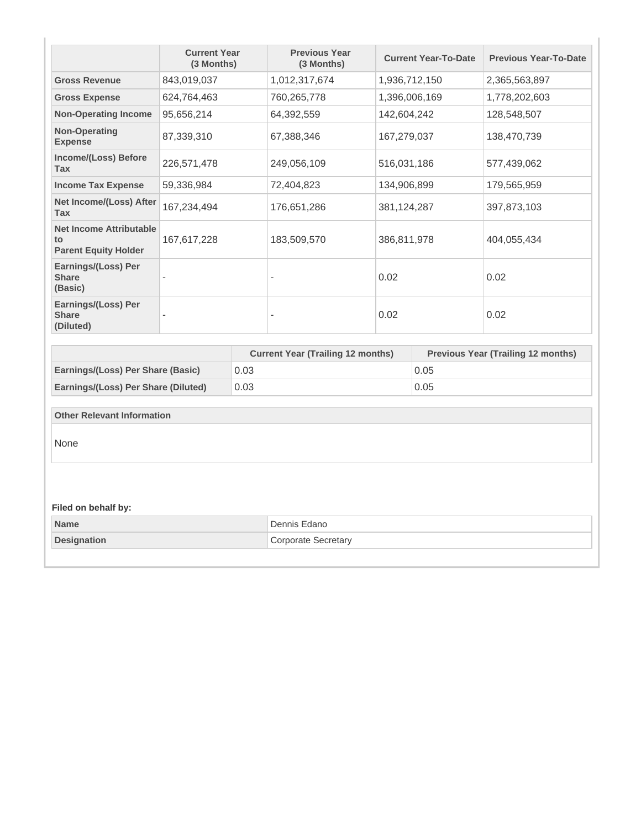|                                                                     | <b>Current Year</b><br>(3 Months) |      | <b>Previous Year</b><br>(3 Months)       |             | <b>Current Year-To-Date</b> | <b>Previous Year-To-Date</b>              |
|---------------------------------------------------------------------|-----------------------------------|------|------------------------------------------|-------------|-----------------------------|-------------------------------------------|
| <b>Gross Revenue</b>                                                | 843,019,037                       |      | 1,012,317,674                            |             | 1,936,712,150               | 2,365,563,897                             |
| <b>Gross Expense</b>                                                | 624,764,463                       |      | 760,265,778                              |             | 1,396,006,169               | 1,778,202,603                             |
| <b>Non-Operating Income</b>                                         | 95,656,214                        |      | 64,392,559                               | 142,604,242 |                             | 128,548,507                               |
| <b>Non-Operating</b><br><b>Expense</b>                              | 87,339,310                        |      | 67,388,346                               | 167,279,037 |                             | 138,470,739                               |
| Income/(Loss) Before<br><b>Tax</b>                                  | 226,571,478                       |      | 249,056,109                              | 516,031,186 |                             | 577,439,062                               |
| <b>Income Tax Expense</b>                                           | 59,336,984                        |      | 72,404,823                               | 134,906,899 |                             | 179,565,959                               |
| Net Income/(Loss) After<br><b>Tax</b>                               | 167,234,494                       |      | 176,651,286                              | 381,124,287 |                             | 397,873,103                               |
| <b>Net Income Attributable</b><br>to<br><b>Parent Equity Holder</b> | 167,617,228                       |      | 183,509,570                              | 386,811,978 |                             | 404,055,434                               |
| Earnings/(Loss) Per<br><b>Share</b><br>(Basic)                      |                                   |      | $\overline{\phantom{0}}$                 | 0.02        |                             | 0.02                                      |
| Earnings/(Loss) Per<br><b>Share</b><br>(Diluted)                    |                                   |      |                                          | 0.02        |                             | 0.02                                      |
|                                                                     |                                   |      |                                          |             |                             |                                           |
|                                                                     |                                   |      | <b>Current Year (Trailing 12 months)</b> |             |                             | <b>Previous Year (Trailing 12 months)</b> |
| Earnings/(Loss) Per Share (Basic)                                   |                                   | 0.03 |                                          |             | 0.05                        |                                           |
| Earnings/(Loss) Per Share (Diluted)                                 |                                   | 0.03 |                                          |             | 0.05                        |                                           |
| <b>Other Relevant Information</b>                                   |                                   |      |                                          |             |                             |                                           |
| None                                                                |                                   |      |                                          |             |                             |                                           |
| Filed on behalf by:                                                 |                                   |      |                                          |             |                             |                                           |
| <b>Name</b>                                                         |                                   |      | Dennis Edano                             |             |                             |                                           |
| <b>Designation</b>                                                  |                                   |      | <b>Corporate Secretary</b>               |             |                             |                                           |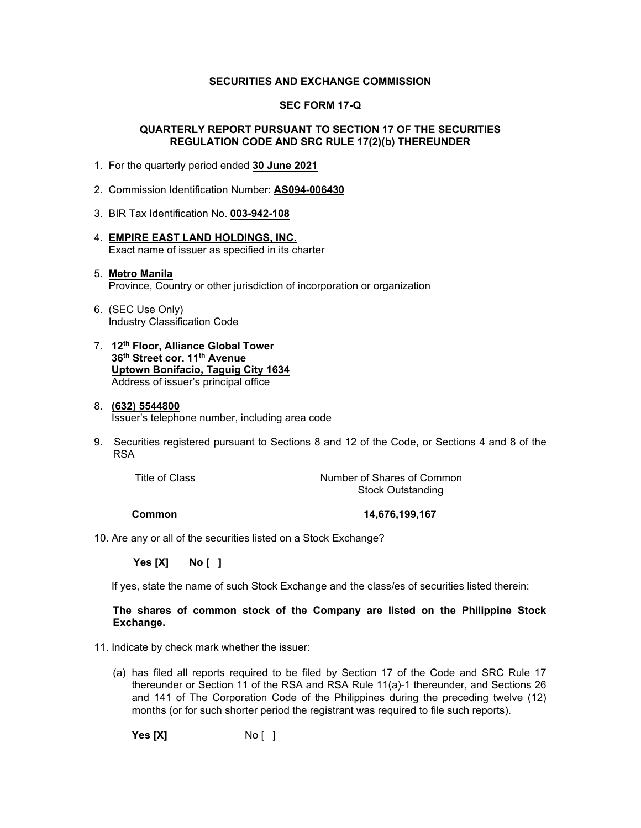### **SECURITIES AND EXCHANGE COMMISSION**

# **SEC FORM 17-Q**

# **QUARTERLY REPORT PURSUANT TO SECTION 17 OF THE SECURITIES REGULATION CODE AND SRC RULE 17(2)(b) THEREUNDER**

- 1. For the quarterly period ended **30 June 2021**
- 2. Commission Identification Number: **AS094-006430**
- 3. BIR Tax Identification No. **003-942-108**
- 4. **EMPIRE EAST LAND HOLDINGS, INC.** Exact name of issuer as specified in its charter

# 5. **Metro Manila** Province, Country or other jurisdiction of incorporation or organization

- 6. (SEC Use Only) Industry Classification Code
- 7. **12th Floor, Alliance Global Tower 36th Street cor. 11th Avenue Uptown Bonifacio, Taguig City 1634** Address of issuer's principal office

#### 8. **(632) 5544800** Issuer's telephone number, including area code

9. Securities registered pursuant to Sections 8 and 12 of the Code, or Sections 4 and 8 of the RSA

Title of Class Title of Class Common Number of Shares of Common Stock Outstanding

 **Common 14,676,199,167**

10. Are any or all of the securities listed on a Stock Exchange?

 **Yes [X] No [ ]**

If yes, state the name of such Stock Exchange and the class/es of securities listed therein:

# **The shares of common stock of the Company are listed on the Philippine Stock Exchange.**

- 11. Indicate by check mark whether the issuer:
	- (a) has filed all reports required to be filed by Section 17 of the Code and SRC Rule 17 thereunder or Section 11 of the RSA and RSA Rule 11(a)-1 thereunder, and Sections 26 and 141 of The Corporation Code of the Philippines during the preceding twelve (12) months (or for such shorter period the registrant was required to file such reports).

**Yes [X]** No [ ]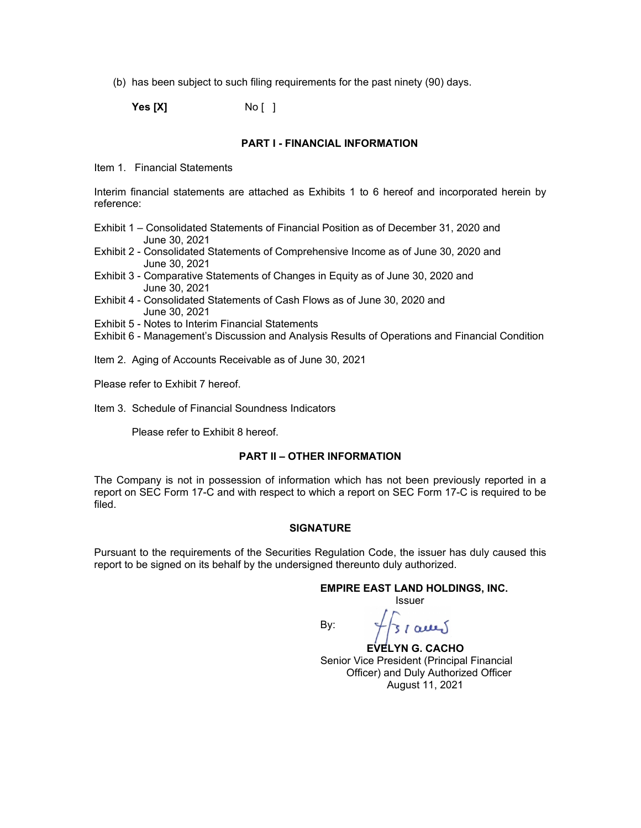(b) has been subject to such filing requirements for the past ninety (90) days.

**Yes [X]** No [ ]

### **PART I - FINANCIAL INFORMATION**

Item 1. Financial Statements

Interim financial statements are attached as Exhibits 1 to 6 hereof and incorporated herein by reference:

- Exhibit 1 Consolidated Statements of Financial Position as of December 31, 2020 and June 30, 2021
- Exhibit 2 Consolidated Statements of Comprehensive Income as of June 30, 2020 and June 30, 2021
- Exhibit 3 Comparative Statements of Changes in Equity as of June 30, 2020 and June 30, 2021
- Exhibit 4 Consolidated Statements of Cash Flows as of June 30, 2020 and June 30, 2021
- Exhibit 5 Notes to Interim Financial Statements
- Exhibit 6 Management's Discussion and Analysis Results of Operations and Financial Condition
- Item 2. Aging of Accounts Receivable as of June 30, 2021
- Please refer to Exhibit 7 hereof.
- Item 3. Schedule of Financial Soundness Indicators

Please refer to Exhibit 8 hereof.

### **PART II – OTHER INFORMATION**

The Company is not in possession of information which has not been previously reported in a report on SEC Form 17-C and with respect to which a report on SEC Form 17-C is required to be filed.

### **SIGNATURE**

Pursuant to the requirements of the Securities Regulation Code, the issuer has duly caused this report to be signed on its behalf by the undersigned thereunto duly authorized.

By:

#### **EMPIRE EAST LAND HOLDINGS, INC.** Issuer

 **EVELYN G. CACHO** Senior Vice President (Principal Financial Officer) and Duly Authorized Officer August 11, 2021

 $31$  acres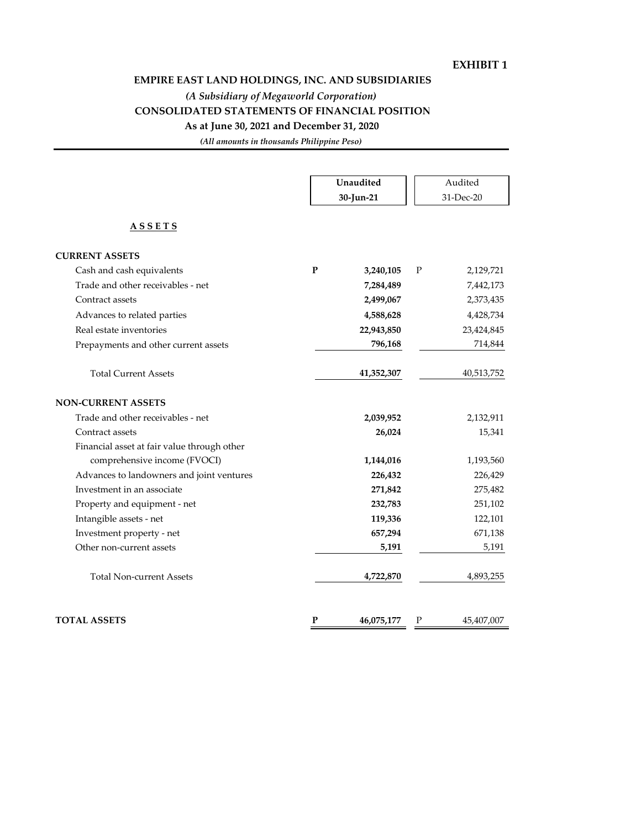# **EXHIBIT 1**

# **EMPIRE EAST LAND HOLDINGS, INC. AND SUBSIDIARIES**

*(A Subsidiary of Megaworld Corporation)*

# **CONSOLIDATED STATEMENTS OF FINANCIAL POSITION**

# **As at June 30, 2021 and December 31, 2020**

*(All amounts in thousands Philippine Peso)*

|                                             | Unaudited<br>30-Jun-21     |   | Audited<br>31-Dec-20 |
|---------------------------------------------|----------------------------|---|----------------------|
| <u>ASSETS</u>                               |                            |   |                      |
| <b>CURRENT ASSETS</b>                       |                            |   |                      |
| Cash and cash equivalents                   | $\mathbf{P}$<br>3,240,105  | P | 2,129,721            |
| Trade and other receivables - net           | 7,284,489                  |   | 7,442,173            |
| Contract assets                             | 2,499,067                  |   | 2,373,435            |
| Advances to related parties                 | 4,588,628                  |   | 4,428,734            |
| Real estate inventories                     | 22,943,850                 |   | 23,424,845           |
| Prepayments and other current assets        | 796,168                    |   | 714,844              |
| <b>Total Current Assets</b>                 | 41,352,307                 |   | 40,513,752           |
| <b>NON-CURRENT ASSETS</b>                   |                            |   |                      |
| Trade and other receivables - net           | 2,039,952                  |   | 2,132,911            |
| Contract assets                             | 26,024                     |   | 15,341               |
| Financial asset at fair value through other |                            |   |                      |
| comprehensive income (FVOCI)                | 1,144,016                  |   | 1,193,560            |
| Advances to landowners and joint ventures   | 226,432                    |   | 226,429              |
| Investment in an associate                  | 271,842                    |   | 275,482              |
| Property and equipment - net                | 232,783                    |   | 251,102              |
| Intangible assets - net                     | 119,336                    |   | 122,101              |
| Investment property - net                   | 657,294                    |   | 671,138              |
| Other non-current assets                    | 5,191                      |   | 5,191                |
| <b>Total Non-current Assets</b>             | 4,722,870                  |   | 4,893,255            |
| <b>TOTAL ASSETS</b>                         | $\mathbf{P}$<br>46,075,177 | P | 45,407,007           |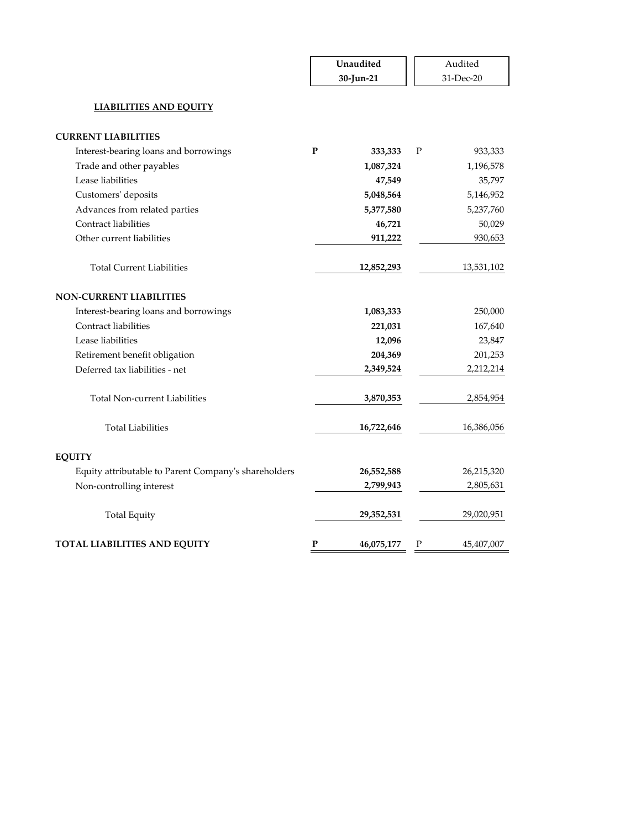|                                                      | Unaudited |            |   | Audited    |
|------------------------------------------------------|-----------|------------|---|------------|
|                                                      |           | 30-Jun-21  |   | 31-Dec-20  |
| <b>LIABILITIES AND EQUITY</b>                        |           |            |   |            |
| <b>CURRENT LIABILITIES</b>                           |           |            |   |            |
| Interest-bearing loans and borrowings                | P         | 333,333    | P | 933,333    |
| Trade and other payables                             |           | 1,087,324  |   | 1,196,578  |
| Lease liabilities                                    |           | 47,549     |   | 35,797     |
| Customers' deposits                                  |           | 5,048,564  |   | 5,146,952  |
| Advances from related parties                        |           | 5,377,580  |   | 5,237,760  |
| Contract liabilities                                 |           | 46,721     |   | 50,029     |
| Other current liabilities                            |           | 911,222    |   | 930,653    |
| <b>Total Current Liabilities</b>                     |           | 12,852,293 |   | 13,531,102 |
| <b>NON-CURRENT LIABILITIES</b>                       |           |            |   |            |
| Interest-bearing loans and borrowings                |           | 1,083,333  |   | 250,000    |
| Contract liabilities                                 |           | 221,031    |   | 167,640    |
| Lease liabilities                                    |           | 12,096     |   | 23,847     |
| Retirement benefit obligation                        |           | 204,369    |   | 201,253    |
| Deferred tax liabilities - net                       |           | 2,349,524  |   | 2,212,214  |
| <b>Total Non-current Liabilities</b>                 |           | 3,870,353  |   | 2,854,954  |
| <b>Total Liabilities</b>                             |           | 16,722,646 |   | 16,386,056 |
| <b>EQUITY</b>                                        |           |            |   |            |
| Equity attributable to Parent Company's shareholders |           | 26,552,588 |   | 26,215,320 |
| Non-controlling interest                             |           | 2,799,943  |   | 2,805,631  |
| <b>Total Equity</b>                                  |           | 29,352,531 |   | 29,020,951 |
| <b>TOTAL LIABILITIES AND EQUITY</b>                  | P         | 46,075,177 | Ρ | 45,407,007 |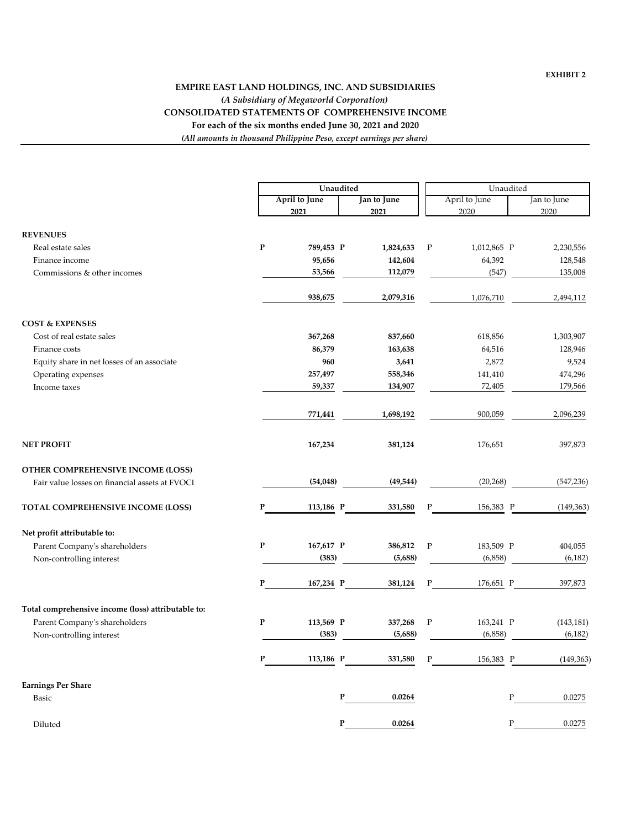# *(A Subsidiary of Megaworld Corporation)* **EMPIRE EAST LAND HOLDINGS, INC. AND SUBSIDIARIES** *(All amounts in thousand Philippine Peso, except earnings per share)* **For each of the six months ended June 30, 2021 and 2020 CONSOLIDATED STATEMENTS OF COMPREHENSIVE INCOME**

|                                                    |           | Unaudited            |             |             | Unaudited     |             |            |  |
|----------------------------------------------------|-----------|----------------------|-------------|-------------|---------------|-------------|------------|--|
|                                                    |           | <b>April to June</b> | Jan to June |             | April to June | Jan to June |            |  |
|                                                    |           | 2021                 | 2021        |             | 2020          |             | 2020       |  |
| <b>REVENUES</b>                                    |           |                      |             |             |               |             |            |  |
| Real estate sales                                  | ${\bf P}$ | 789,453 P            | 1,824,633   | $\mathbf P$ | 1,012,865 P   |             | 2,230,556  |  |
| Finance income                                     |           | 95,656               | 142,604     |             | 64,392        |             | 128,548    |  |
| Commissions & other incomes                        |           | 53,566               | 112,079     |             | (547)         |             | 135,008    |  |
|                                                    |           | 938,675              | 2,079,316   |             | 1,076,710     |             | 2,494,112  |  |
| <b>COST &amp; EXPENSES</b>                         |           |                      |             |             |               |             |            |  |
| Cost of real estate sales                          |           | 367,268              | 837,660     |             | 618,856       |             | 1,303,907  |  |
| Finance costs                                      |           | 86,379               | 163,638     |             | 64,516        |             | 128,946    |  |
| Equity share in net losses of an associate         |           | 960                  | 3,641       |             | 2,872         |             | 9,524      |  |
| Operating expenses                                 |           | 257,497              | 558,346     |             | 141,410       |             | 474,296    |  |
| Income taxes                                       |           | 59,337               | 134,907     |             | 72,405        |             | 179,566    |  |
|                                                    |           | 771,441              | 1,698,192   |             | 900,059       |             | 2,096,239  |  |
| <b>NET PROFIT</b>                                  |           | 167,234              | 381,124     |             | 176,651       |             | 397,873    |  |
| OTHER COMPREHENSIVE INCOME (LOSS)                  |           |                      |             |             |               |             |            |  |
| Fair value losses on financial assets at FVOCI     |           | (54,048)             | (49, 544)   |             | (20, 268)     |             | (547, 236) |  |
| TOTAL COMPREHENSIVE INCOME (LOSS)                  | P         | 113,186 P            | 331,580     | ${\bf P}$   | 156,383 P     |             | (149, 363) |  |
| Net profit attributable to:                        |           |                      |             |             |               |             |            |  |
| Parent Company's shareholders                      | ${\bf P}$ | 167,617 P            | 386,812     | $\mathbf P$ | 183,509 P     |             | 404,055    |  |
| Non-controlling interest                           |           | (383)                | (5,688)     |             | (6,858)       |             | (6, 182)   |  |
|                                                    | ${\bf P}$ | 167,234 P            | 381,124     | ${\bf P}$   | 176,651 P     |             | 397,873    |  |
| Total comprehensive income (loss) attributable to: |           |                      |             |             |               |             |            |  |
| Parent Company's shareholders                      | ${\bf P}$ | 113,569 P            | 337,268     | $\rm P$     | 163,241 P     |             | (143, 181) |  |
| Non-controlling interest                           |           | (383)                | (5,688)     |             | (6,858)       |             | (6, 182)   |  |
|                                                    | P         | 113,186 P            | 331,580     | Ρ           | 156,383 P     |             | (149, 363) |  |
| <b>Earnings Per Share</b>                          |           |                      |             |             |               |             |            |  |
| Basic                                              |           |                      | 0.0264<br>P |             |               | Ρ           | 0.0275     |  |
| Diluted                                            |           |                      | 0.0264<br>P |             |               | Ρ           | 0.0275     |  |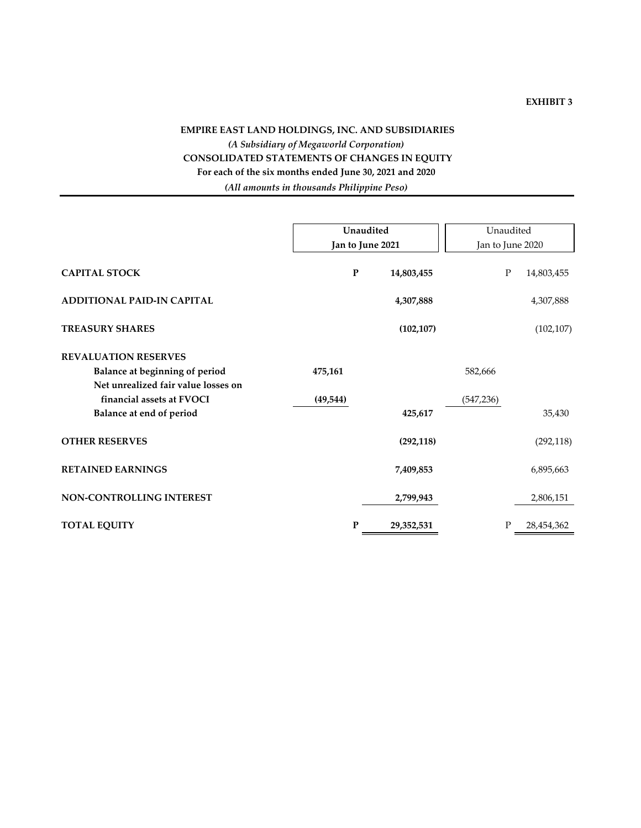# **EXHIBIT 3**

# **EMPIRE EAST LAND HOLDINGS, INC. AND SUBSIDIARIES** *(A Subsidiary of Megaworld Corporation)* **CONSOLIDATED STATEMENTS OF CHANGES IN EQUITY For each of the six months ended June 30, 2021 and 2020** *(All amounts in thousands Philippine Peso)*

|                                     | Unaudited        |           | Unaudited  |                  |   |            |
|-------------------------------------|------------------|-----------|------------|------------------|---|------------|
|                                     | Jan to June 2021 |           |            | Jan to June 2020 |   |            |
| <b>CAPITAL STOCK</b>                |                  | ${\bf P}$ | 14,803,455 |                  | P | 14,803,455 |
| <b>ADDITIONAL PAID-IN CAPITAL</b>   |                  |           | 4,307,888  |                  |   | 4,307,888  |
| <b>TREASURY SHARES</b>              |                  |           | (102, 107) |                  |   | (102, 107) |
| <b>REVALUATION RESERVES</b>         |                  |           |            |                  |   |            |
| Balance at beginning of period      | 475,161          |           |            | 582,666          |   |            |
| Net unrealized fair value losses on |                  |           |            |                  |   |            |
| financial assets at FVOCI           | (49, 544)        |           |            | (547, 236)       |   |            |
| Balance at end of period            |                  |           | 425,617    |                  |   | 35,430     |
| <b>OTHER RESERVES</b>               |                  |           | (292, 118) |                  |   | (292, 118) |
| <b>RETAINED EARNINGS</b>            |                  |           | 7,409,853  |                  |   | 6,895,663  |
| NON-CONTROLLING INTEREST            |                  |           | 2,799,943  |                  |   | 2,806,151  |
| <b>TOTAL EQUITY</b>                 |                  | P         | 29,352,531 |                  | P | 28,454,362 |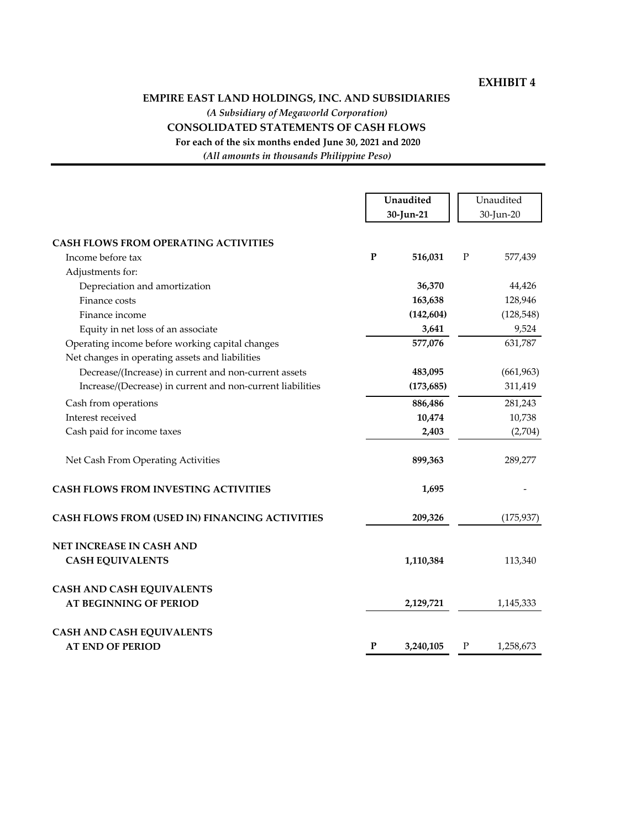# **EXHIBIT 4**

# **EMPIRE EAST LAND HOLDINGS, INC. AND SUBSIDIARIES**

*(A Subsidiary of Megaworld Corporation)*

# **CONSOLIDATED STATEMENTS OF CASH FLOWS**

**For each of the six months ended June 30, 2021 and 2020**

*(All amounts in thousands Philippine Peso)*

|                                                                                                    |           | Unaudited<br>30-Jun-21 |             | Unaudited<br>30-Jun-20 |
|----------------------------------------------------------------------------------------------------|-----------|------------------------|-------------|------------------------|
| <b>CASH FLOWS FROM OPERATING ACTIVITIES</b>                                                        |           |                        |             |                        |
| Income before tax                                                                                  | P         | 516,031                | $\mathbf P$ | 577,439                |
| Adjustments for:                                                                                   |           |                        |             |                        |
| Depreciation and amortization                                                                      |           | 36,370                 |             | 44,426                 |
| Finance costs                                                                                      |           | 163,638                |             | 128,946                |
| Finance income                                                                                     |           | (142, 604)             |             | (128, 548)             |
| Equity in net loss of an associate                                                                 |           | 3,641                  |             | 9,524                  |
| Operating income before working capital changes<br>Net changes in operating assets and liabilities |           | 577,076                |             | 631,787                |
| Decrease/(Increase) in current and non-current assets                                              |           | 483,095                |             | (661, 963)             |
| Increase/(Decrease) in current and non-current liabilities                                         |           | (173, 685)             |             | 311,419                |
| Cash from operations                                                                               |           | 886,486                |             | 281,243                |
| Interest received                                                                                  |           | 10,474                 |             | 10,738                 |
| Cash paid for income taxes                                                                         |           | 2,403                  |             | (2,704)                |
| Net Cash From Operating Activities                                                                 |           | 899,363                |             | 289,277                |
| <b>CASH FLOWS FROM INVESTING ACTIVITIES</b>                                                        |           | 1,695                  |             |                        |
| <b>CASH FLOWS FROM (USED IN) FINANCING ACTIVITIES</b>                                              |           | 209,326                |             | (175, 937)             |
| NET INCREASE IN CASH AND                                                                           |           |                        |             |                        |
| <b>CASH EQUIVALENTS</b>                                                                            |           | 1,110,384              |             | 113,340                |
| <b>CASH AND CASH EQUIVALENTS</b>                                                                   |           |                        |             |                        |
| <b>AT BEGINNING OF PERIOD</b>                                                                      |           | 2,129,721              |             | 1,145,333              |
| <b>CASH AND CASH EQUIVALENTS</b>                                                                   |           |                        |             |                        |
| <b>AT END OF PERIOD</b>                                                                            | ${\bf P}$ | 3,240,105              | $\mathbf P$ | 1,258,673              |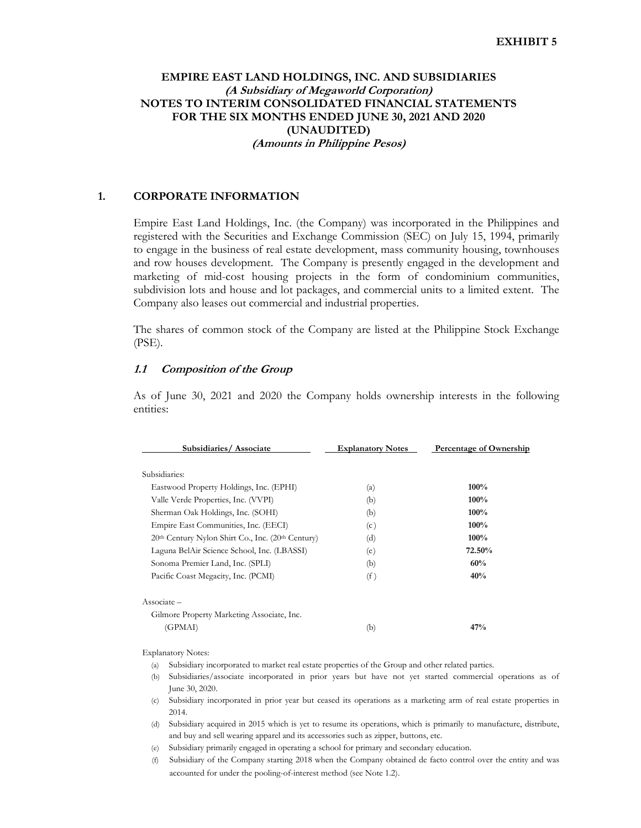# **EMPIRE EAST LAND HOLDINGS, INC. AND SUBSIDIARIES (A Subsidiary of Megaworld Corporation) NOTES TO INTERIM CONSOLIDATED FINANCIAL STATEMENTS FOR THE SIX MONTHS ENDED JUNE 30, 2021 AND 2020 (UNAUDITED) (Amounts in Philippine Pesos)**

## **1. CORPORATE INFORMATION**

Empire East Land Holdings, Inc. (the Company) was incorporated in the Philippines and registered with the Securities and Exchange Commission (SEC) on July 15, 1994, primarily to engage in the business of real estate development, mass community housing, townhouses and row houses development. The Company is presently engaged in the development and marketing of mid-cost housing projects in the form of condominium communities, subdivision lots and house and lot packages, and commercial units to a limited extent. The Company also leases out commercial and industrial properties.

 The shares of common stock of the Company are listed at the Philippine Stock Exchange (PSE).

#### **1.1 Composition of the Group**

 As of June 30, 2021 and 2020 the Company holds ownership interests in the following entities:

| Subsidiaries/Associate                                                    | <b>Explanatory Notes</b> | <b>Percentage of Ownership</b> |
|---------------------------------------------------------------------------|--------------------------|--------------------------------|
| Subsidiaries:                                                             |                          |                                |
| Eastwood Property Holdings, Inc. (EPHI)                                   | (a)                      | $100\%$                        |
| Valle Verde Properties, Inc. (VVPI)                                       | (b)                      | $100\%$                        |
| Sherman Oak Holdings, Inc. (SOHI)                                         | (b)                      | $100\%$                        |
| Empire East Communities, Inc. (EECI)                                      | (c)                      | $100\%$                        |
| 20 <sup>th</sup> Century Nylon Shirt Co., Inc. (20 <sup>th</sup> Century) | (d)                      | $100\%$                        |
| Laguna BelAir Science School, Inc. (LBASSI)                               | (e)                      | 72.50%                         |
| Sonoma Premier Land, Inc. (SPLI)                                          | (b)                      | 60%                            |
| Pacific Coast Megacity, Inc. (PCMI)                                       | (f)                      | 40%                            |
| $\text{Associate}$ –                                                      |                          |                                |
| Gilmore Property Marketing Associate, Inc.                                |                          |                                |
| (GPMAI)                                                                   | (b)                      | 47%                            |
|                                                                           |                          |                                |

Explanatory Notes:

- (a) Subsidiary incorporated to market real estate properties of the Group and other related parties.
- (b) Subsidiaries/associate incorporated in prior years but have not yet started commercial operations as of June 30, 2020.
- (c) Subsidiary incorporated in prior year but ceased its operations as a marketing arm of real estate properties in 2014.
- (d) Subsidiary acquired in 2015 which is yet to resume its operations, which is primarily to manufacture, distribute, and buy and sell wearing apparel and its accessories such as zipper, buttons, etc.
- (e) Subsidiary primarily engaged in operating a school for primary and secondary education.
- (f) Subsidiary of the Company starting 2018 when the Company obtained de facto control over the entity and was accounted for under the pooling-of-interest method (see Note 1.2).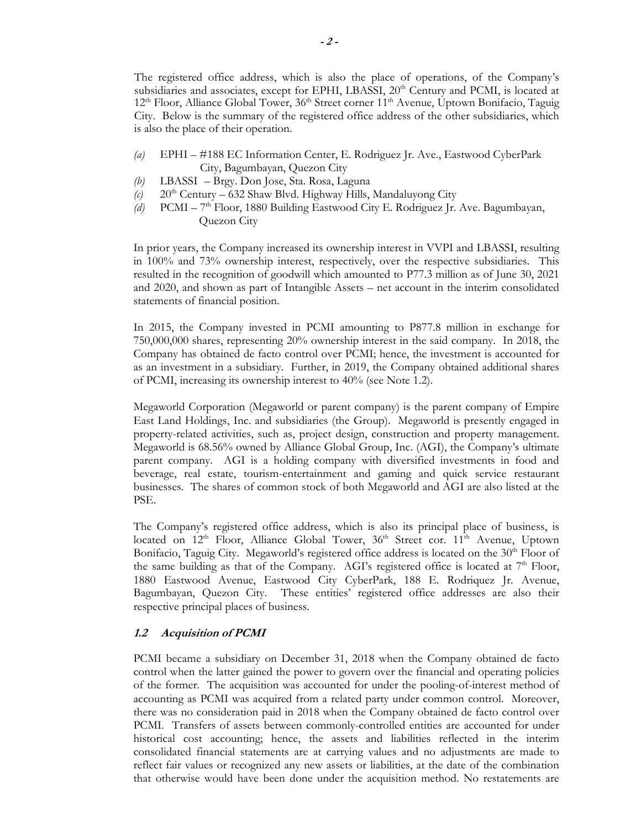The registered office address, which is also the place of operations, of the Company's subsidiaries and associates, except for EPHI, LBASSI,  $20<sup>th</sup>$  Century and PCMI, is located at 12<sup>th</sup> Floor, Alliance Global Tower, 36<sup>th</sup> Street corner 11<sup>th</sup> Avenue, Uptown Bonifacio, Taguig City. Below is the summary of the registered office address of the other subsidiaries, which is also the place of their operation.

- *(a)* EPHI #188 EC Information Center, E. Rodriguez Jr. Ave., Eastwood CyberPark City, Bagumbayan, Quezon City
- *(b)* LBASSI Brgy. Don Jose, Sta. Rosa, Laguna
- $(c)$  20<sup>th</sup> Century 632 Shaw Blvd. Highway Hills, Mandaluyong City
- *(d)* PCMI 7th Floor, 1880 Building Eastwood City E. Rodriguez Jr. Ave. Bagumbayan, Quezon City

In prior years, the Company increased its ownership interest in VVPI and LBASSI, resulting in 100% and 73% ownership interest, respectively, over the respective subsidiaries. This resulted in the recognition of goodwill which amounted to P77.3 million as of June 30, 2021 and 2020, and shown as part of Intangible Assets – net account in the interim consolidated statements of financial position.

In 2015, the Company invested in PCMI amounting to P877.8 million in exchange for 750,000,000 shares, representing 20% ownership interest in the said company. In 2018, the Company has obtained de facto control over PCMI; hence, the investment is accounted for as an investment in a subsidiary. Further, in 2019, the Company obtained additional shares of PCMI, increasing its ownership interest to 40% (see Note 1.2).

Megaworld Corporation (Megaworld or parent company) is the parent company of Empire East Land Holdings, Inc. and subsidiaries (the Group). Megaworld is presently engaged in property-related activities, such as, project design, construction and property management. Megaworld is 68.56% owned by Alliance Global Group, Inc. (AGI), the Company's ultimate parent company. AGI is a holding company with diversified investments in food and beverage, real estate, tourism-entertainment and gaming and quick service restaurant businesses. The shares of common stock of both Megaworld and AGI are also listed at the PSE.

The Company's registered office address, which is also its principal place of business, is located on  $12<sup>th</sup>$  Floor, Alliance Global Tower,  $36<sup>th</sup>$  Street cor.  $11<sup>th</sup>$  Avenue, Uptown Bonifacio, Taguig City. Megaworld's registered office address is located on the 30<sup>th</sup> Floor of the same building as that of the Company. AGI's registered office is located at  $7<sup>th</sup>$  Floor, 1880 Eastwood Avenue, Eastwood City CyberPark, 188 E. Rodriquez Jr. Avenue, Bagumbayan, Quezon City. These entities' registered office addresses are also their respective principal places of business.

# **1.2 Acquisition of PCMI**

PCMI became a subsidiary on December 31, 2018 when the Company obtained de facto control when the latter gained the power to govern over the financial and operating policies of the former. The acquisition was accounted for under the pooling-of-interest method of accounting as PCMI was acquired from a related party under common control. Moreover, there was no consideration paid in 2018 when the Company obtained de facto control over PCMI. Transfers of assets between commonly-controlled entities are accounted for under historical cost accounting; hence, the assets and liabilities reflected in the interim consolidated financial statements are at carrying values and no adjustments are made to reflect fair values or recognized any new assets or liabilities, at the date of the combination that otherwise would have been done under the acquisition method. No restatements are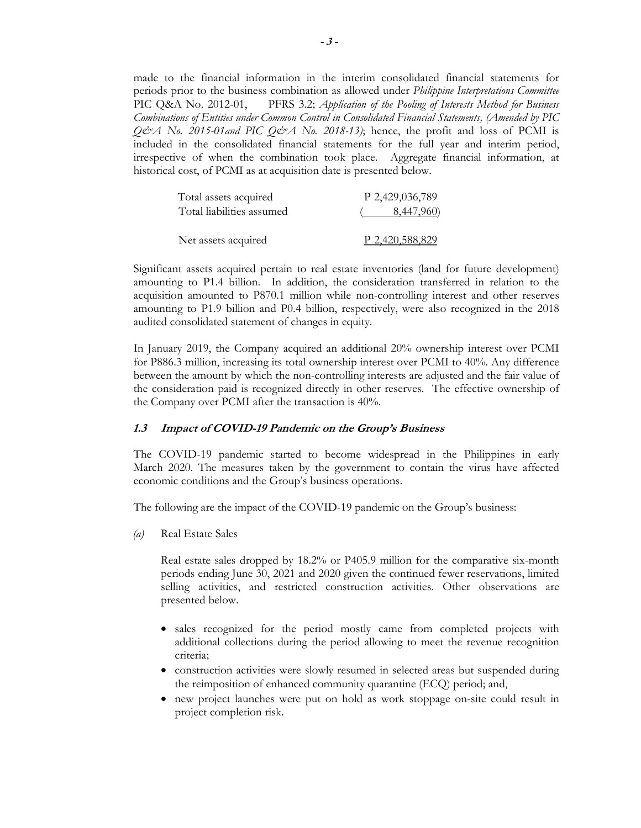made to the financial information in the interim consolidated financial statements for periods prior to the business combination as allowed under *Philippine Interpretations Committee* PIC Q&A No. 2012-01, PFRS 3.2; *Application of the Pooling of Interests Method for Business Combinations of Entities under Common Control in Consolidated Financial Statements, (Amended by PIC*   $Q\ddot{\phi}$  *A* No. 2015-01and PIC  $Q\ddot{\phi}$  A No. 2018-13); hence, the profit and loss of PCMI is included in the consolidated financial statements for the full year and interim period, irrespective of when the combination took place. Aggregate financial information, at historical cost, of PCMI as at acquisition date is presented below.

| Total assets acquired     | P 2,429,036,789 |
|---------------------------|-----------------|
| Total liabilities assumed | 8,447,960)      |
| Net assets acquired       | P 2.420.588.829 |

Significant assets acquired pertain to real estate inventories (land for future development) amounting to P1.4 billion. In addition, the consideration transferred in relation to the acquisition amounted to P870.1 million while non-controlling interest and other reserves amounting to P1.9 billion and P0.4 billion, respectively, were also recognized in the 2018 audited consolidated statement of changes in equity.

In January 2019, the Company acquired an additional 20% ownership interest over PCMI for P886.3 million, increasing its total ownership interest over PCMI to 40%. Any difference between the amount by which the non-controlling interests are adjusted and the fair value of the consideration paid is recognized directly in other reserves. The effective ownership of the Company over PCMI after the transaction is 40%.

### **1.3 Impact of COVID-19 Pandemic on the Group's Business**

The COVID-19 pandemic started to become widespread in the Philippines in early March 2020. The measures taken by the government to contain the virus have affected economic conditions and the Group's business operations.

The following are the impact of the COVID-19 pandemic on the Group's business:

*(a)* Real Estate Sales

Real estate sales dropped by 18.2% or P405.9 million for the comparative six-month periods ending June 30, 2021 and 2020 given the continued fewer reservations, limited selling activities, and restricted construction activities. Other observations are presented below.

- sales recognized for the period mostly came from completed projects with additional collections during the period allowing to meet the revenue recognition criteria;
- construction activities were slowly resumed in selected areas but suspended during the reimposition of enhanced community quarantine (ECQ) period; and,
- new project launches were put on hold as work stoppage on-site could result in project completion risk.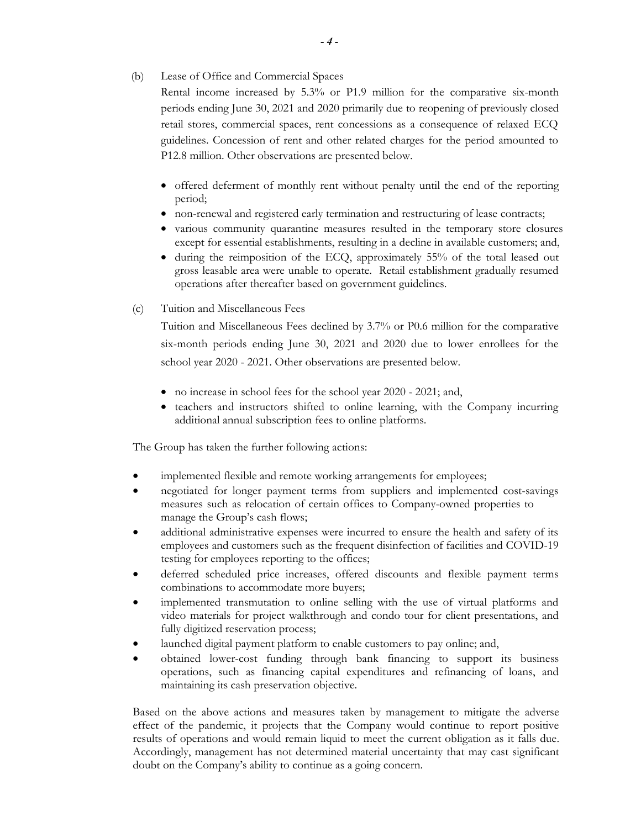(b) Lease of Office and Commercial Spaces

Rental income increased by 5.3% or P1.9 million for the comparative six-month periods ending June 30, 2021 and 2020 primarily due to reopening of previously closed retail stores, commercial spaces, rent concessions as a consequence of relaxed ECQ guidelines. Concession of rent and other related charges for the period amounted to P12.8 million. Other observations are presented below.

- offered deferment of monthly rent without penalty until the end of the reporting period;
- non-renewal and registered early termination and restructuring of lease contracts;
- various community quarantine measures resulted in the temporary store closures except for essential establishments, resulting in a decline in available customers; and,
- during the reimposition of the ECQ, approximately 55% of the total leased out gross leasable area were unable to operate. Retail establishment gradually resumed operations after thereafter based on government guidelines.
- (c) Tuition and Miscellaneous Fees

Tuition and Miscellaneous Fees declined by 3.7% or P0.6 million for the comparative six-month periods ending June 30, 2021 and 2020 due to lower enrollees for the school year 2020 - 2021. Other observations are presented below.

- no increase in school fees for the school year 2020 2021; and,
- teachers and instructors shifted to online learning, with the Company incurring additional annual subscription fees to online platforms.

The Group has taken the further following actions:

- implemented flexible and remote working arrangements for employees;
- negotiated for longer payment terms from suppliers and implemented cost-savings measures such as relocation of certain offices to Company-owned properties to manage the Group's cash flows;
- additional administrative expenses were incurred to ensure the health and safety of its employees and customers such as the frequent disinfection of facilities and COVID-19 testing for employees reporting to the offices;
- deferred scheduled price increases, offered discounts and flexible payment terms combinations to accommodate more buyers;
- implemented transmutation to online selling with the use of virtual platforms and video materials for project walkthrough and condo tour for client presentations, and fully digitized reservation process;
- launched digital payment platform to enable customers to pay online; and,
- obtained lower-cost funding through bank financing to support its business operations, such as financing capital expenditures and refinancing of loans, and maintaining its cash preservation objective.

Based on the above actions and measures taken by management to mitigate the adverse effect of the pandemic, it projects that the Company would continue to report positive results of operations and would remain liquid to meet the current obligation as it falls due. Accordingly, management has not determined material uncertainty that may cast significant doubt on the Company's ability to continue as a going concern.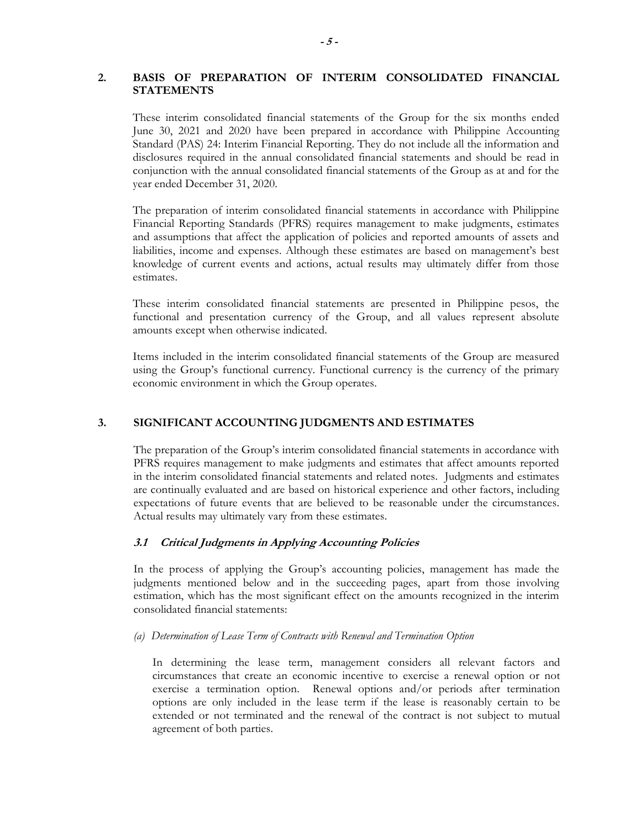# **2. BASIS OF PREPARATION OF INTERIM CONSOLIDATED FINANCIAL STATEMENTS**

These interim consolidated financial statements of the Group for the six months ended June 30, 2021 and 2020 have been prepared in accordance with Philippine Accounting Standard (PAS) 24: Interim Financial Reporting. They do not include all the information and disclosures required in the annual consolidated financial statements and should be read in conjunction with the annual consolidated financial statements of the Group as at and for the year ended December 31, 2020.

The preparation of interim consolidated financial statements in accordance with Philippine Financial Reporting Standards (PFRS) requires management to make judgments, estimates and assumptions that affect the application of policies and reported amounts of assets and liabilities, income and expenses. Although these estimates are based on management's best knowledge of current events and actions, actual results may ultimately differ from those estimates.

These interim consolidated financial statements are presented in Philippine pesos, the functional and presentation currency of the Group, and all values represent absolute amounts except when otherwise indicated.

Items included in the interim consolidated financial statements of the Group are measured using the Group's functional currency. Functional currency is the currency of the primary economic environment in which the Group operates.

# **3. SIGNIFICANT ACCOUNTING JUDGMENTS AND ESTIMATES**

The preparation of the Group's interim consolidated financial statements in accordance with PFRS requires management to make judgments and estimates that affect amounts reported in the interim consolidated financial statements and related notes. Judgments and estimates are continually evaluated and are based on historical experience and other factors, including expectations of future events that are believed to be reasonable under the circumstances. Actual results may ultimately vary from these estimates.

### **3.1 Critical Judgments in Applying Accounting Policies**

In the process of applying the Group's accounting policies, management has made the judgments mentioned below and in the succeeding pages, apart from those involving estimation, which has the most significant effect on the amounts recognized in the interim consolidated financial statements:

### *(a) Determination of Lease Term of Contracts with Renewal and Termination Option*

In determining the lease term, management considers all relevant factors and circumstances that create an economic incentive to exercise a renewal option or not exercise a termination option. Renewal options and/or periods after termination options are only included in the lease term if the lease is reasonably certain to be extended or not terminated and the renewal of the contract is not subject to mutual agreement of both parties.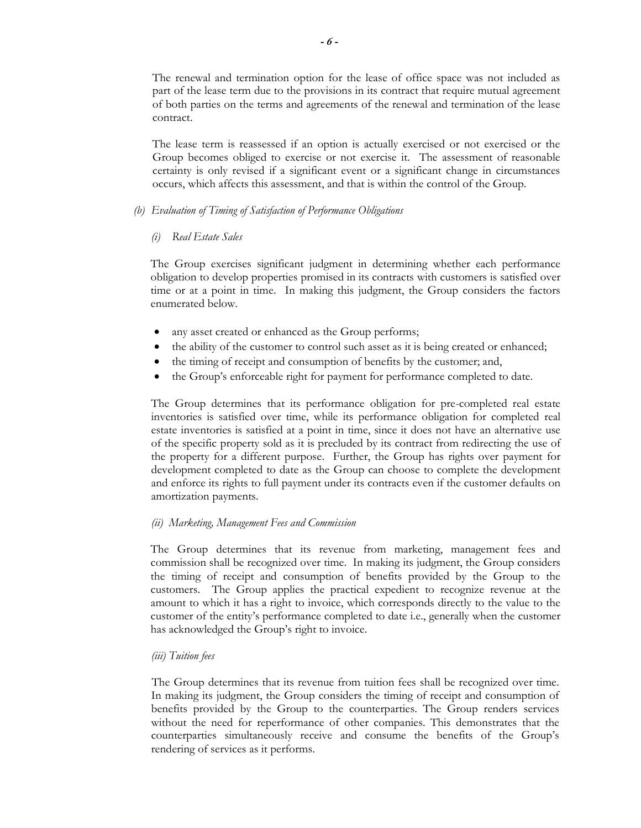The renewal and termination option for the lease of office space was not included as part of the lease term due to the provisions in its contract that require mutual agreement of both parties on the terms and agreements of the renewal and termination of the lease contract.

The lease term is reassessed if an option is actually exercised or not exercised or the Group becomes obliged to exercise or not exercise it. The assessment of reasonable certainty is only revised if a significant event or a significant change in circumstances occurs, which affects this assessment, and that is within the control of the Group.

### *(b) Evaluation of Timing of Satisfaction of Performance Obligations*

# *(i) Real Estate Sales*

The Group exercises significant judgment in determining whether each performance obligation to develop properties promised in its contracts with customers is satisfied over time or at a point in time. In making this judgment, the Group considers the factors enumerated below.

- any asset created or enhanced as the Group performs;
- the ability of the customer to control such asset as it is being created or enhanced;
- the timing of receipt and consumption of benefits by the customer; and,
- the Group's enforceable right for payment for performance completed to date.

The Group determines that its performance obligation for pre-completed real estate inventories is satisfied over time, while its performance obligation for completed real estate inventories is satisfied at a point in time, since it does not have an alternative use of the specific property sold as it is precluded by its contract from redirecting the use of the property for a different purpose. Further, the Group has rights over payment for development completed to date as the Group can choose to complete the development and enforce its rights to full payment under its contracts even if the customer defaults on amortization payments.

### *(ii) Marketing, Management Fees and Commission*

The Group determines that its revenue from marketing, management fees and commission shall be recognized over time. In making its judgment, the Group considers the timing of receipt and consumption of benefits provided by the Group to the customers. The Group applies the practical expedient to recognize revenue at the amount to which it has a right to invoice, which corresponds directly to the value to the customer of the entity's performance completed to date i.e., generally when the customer has acknowledged the Group's right to invoice.

### *(iii) Tuition fees*

The Group determines that its revenue from tuition fees shall be recognized over time. In making its judgment, the Group considers the timing of receipt and consumption of benefits provided by the Group to the counterparties. The Group renders services without the need for reperformance of other companies. This demonstrates that the counterparties simultaneously receive and consume the benefits of the Group's rendering of services as it performs.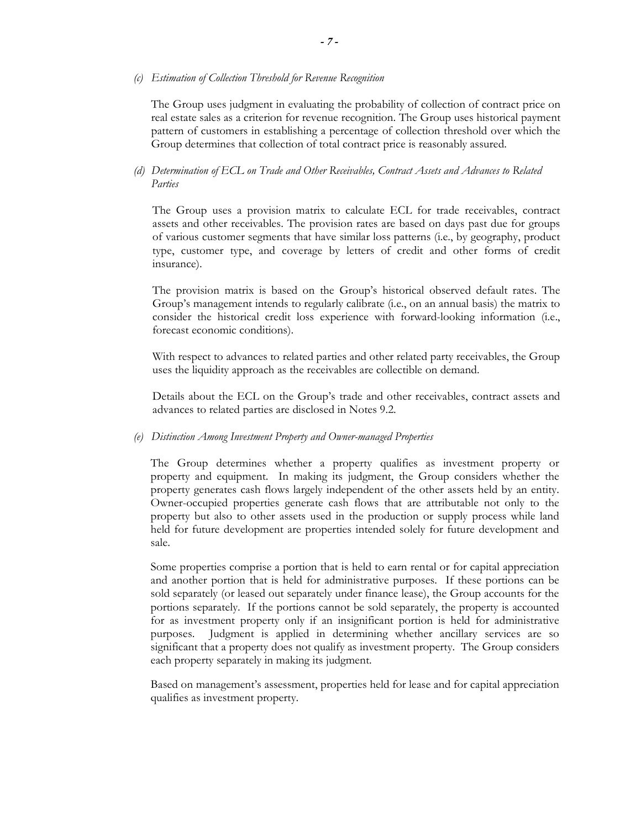#### *(c) Estimation of Collection Threshold for Revenue Recognition*

The Group uses judgment in evaluating the probability of collection of contract price on real estate sales as a criterion for revenue recognition. The Group uses historical payment pattern of customers in establishing a percentage of collection threshold over which the Group determines that collection of total contract price is reasonably assured.

### *(d) Determination of ECL on Trade and Other Receivables, Contract Assets and Advances to Related Parties*

The Group uses a provision matrix to calculate ECL for trade receivables, contract assets and other receivables. The provision rates are based on days past due for groups of various customer segments that have similar loss patterns (i.e., by geography, product type, customer type, and coverage by letters of credit and other forms of credit insurance).

The provision matrix is based on the Group's historical observed default rates. The Group's management intends to regularly calibrate (i.e., on an annual basis) the matrix to consider the historical credit loss experience with forward-looking information (i.e., forecast economic conditions).

With respect to advances to related parties and other related party receivables, the Group uses the liquidity approach as the receivables are collectible on demand.

Details about the ECL on the Group's trade and other receivables, contract assets and advances to related parties are disclosed in Notes 9.2.

#### *(e) Distinction Among Investment Property and Owner-managed Properties*

The Group determines whether a property qualifies as investment property or property and equipment. In making its judgment, the Group considers whether the property generates cash flows largely independent of the other assets held by an entity. Owner-occupied properties generate cash flows that are attributable not only to the property but also to other assets used in the production or supply process while land held for future development are properties intended solely for future development and sale.

Some properties comprise a portion that is held to earn rental or for capital appreciation and another portion that is held for administrative purposes. If these portions can be sold separately (or leased out separately under finance lease), the Group accounts for the portions separately. If the portions cannot be sold separately, the property is accounted for as investment property only if an insignificant portion is held for administrative purposes. Judgment is applied in determining whether ancillary services are so significant that a property does not qualify as investment property. The Group considers each property separately in making its judgment.

Based on management's assessment, properties held for lease and for capital appreciation qualifies as investment property.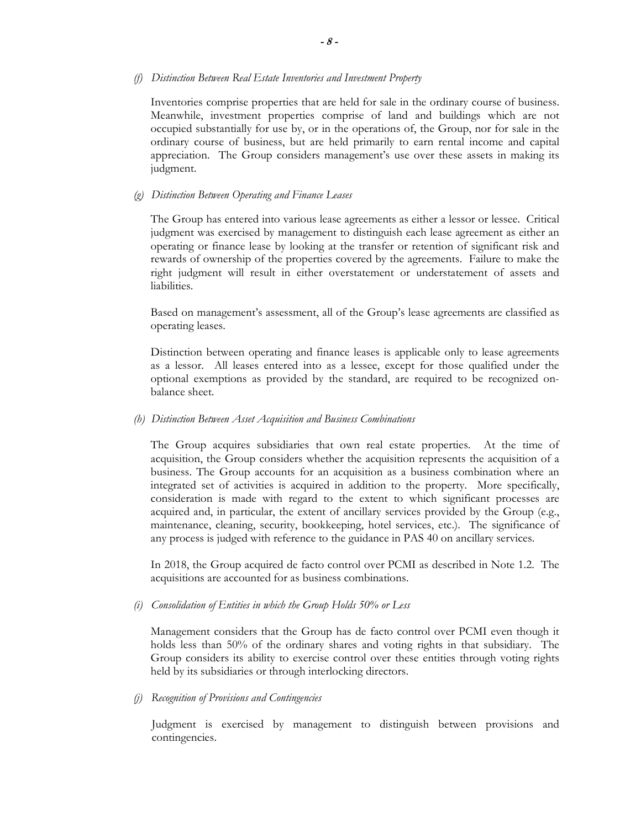#### *(f) Distinction Between Real Estate Inventories and Investment Property*

Inventories comprise properties that are held for sale in the ordinary course of business. Meanwhile, investment properties comprise of land and buildings which are not occupied substantially for use by, or in the operations of, the Group, nor for sale in the ordinary course of business, but are held primarily to earn rental income and capital appreciation. The Group considers management's use over these assets in making its judgment.

#### *(g) Distinction Between Operating and Finance Leases*

The Group has entered into various lease agreements as either a lessor or lessee. Critical judgment was exercised by management to distinguish each lease agreement as either an operating or finance lease by looking at the transfer or retention of significant risk and rewards of ownership of the properties covered by the agreements. Failure to make the right judgment will result in either overstatement or understatement of assets and liabilities.

Based on management's assessment, all of the Group's lease agreements are classified as operating leases.

Distinction between operating and finance leases is applicable only to lease agreements as a lessor. All leases entered into as a lessee, except for those qualified under the optional exemptions as provided by the standard, are required to be recognized onbalance sheet.

#### *(h) Distinction Between Asset Acquisition and Business Combinations*

The Group acquires subsidiaries that own real estate properties. At the time of acquisition, the Group considers whether the acquisition represents the acquisition of a business. The Group accounts for an acquisition as a business combination where an integrated set of activities is acquired in addition to the property. More specifically, consideration is made with regard to the extent to which significant processes are acquired and, in particular, the extent of ancillary services provided by the Group (e.g., maintenance, cleaning, security, bookkeeping, hotel services, etc.). The significance of any process is judged with reference to the guidance in PAS 40 on ancillary services.

In 2018, the Group acquired de facto control over PCMI as described in Note 1.2. The acquisitions are accounted for as business combinations.

#### *(i) Consolidation of Entities in which the Group Holds 50% or Less*

Management considers that the Group has de facto control over PCMI even though it holds less than 50% of the ordinary shares and voting rights in that subsidiary. The Group considers its ability to exercise control over these entities through voting rights held by its subsidiaries or through interlocking directors.

#### *(j) Recognition of Provisions and Contingencies*

 Judgment is exercised by management to distinguish between provisions and contingencies.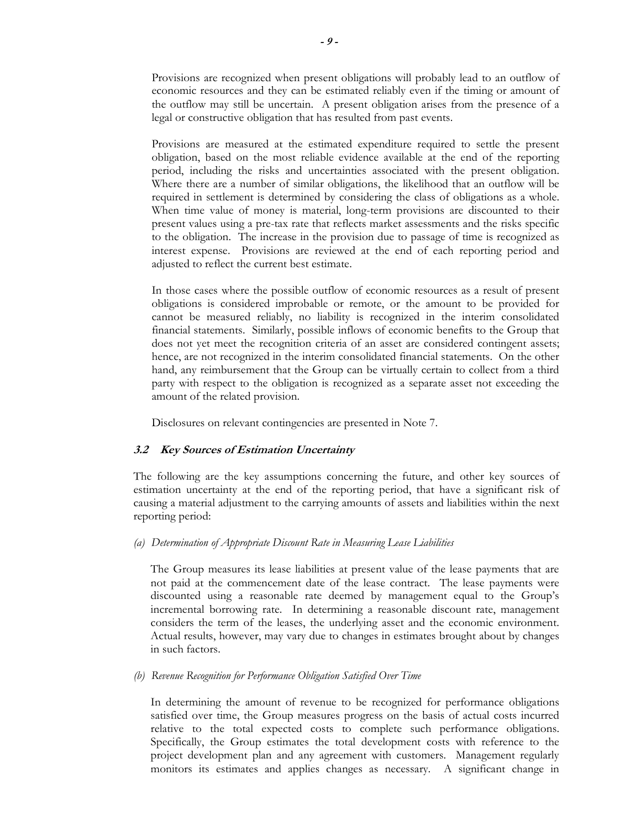Provisions are recognized when present obligations will probably lead to an outflow of economic resources and they can be estimated reliably even if the timing or amount of the outflow may still be uncertain. A present obligation arises from the presence of a legal or constructive obligation that has resulted from past events.

 Provisions are measured at the estimated expenditure required to settle the present obligation, based on the most reliable evidence available at the end of the reporting period, including the risks and uncertainties associated with the present obligation. Where there are a number of similar obligations, the likelihood that an outflow will be required in settlement is determined by considering the class of obligations as a whole. When time value of money is material, long-term provisions are discounted to their present values using a pre-tax rate that reflects market assessments and the risks specific to the obligation. The increase in the provision due to passage of time is recognized as interest expense. Provisions are reviewed at the end of each reporting period and adjusted to reflect the current best estimate.

 In those cases where the possible outflow of economic resources as a result of present obligations is considered improbable or remote, or the amount to be provided for cannot be measured reliably, no liability is recognized in the interim consolidated financial statements. Similarly, possible inflows of economic benefits to the Group that does not yet meet the recognition criteria of an asset are considered contingent assets; hence, are not recognized in the interim consolidated financial statements. On the other hand, any reimbursement that the Group can be virtually certain to collect from a third party with respect to the obligation is recognized as a separate asset not exceeding the amount of the related provision.

Disclosures on relevant contingencies are presented in Note 7.

# **3.2 Key Sources of Estimation Uncertainty**

 The following are the key assumptions concerning the future, and other key sources of estimation uncertainty at the end of the reporting period, that have a significant risk of causing a material adjustment to the carrying amounts of assets and liabilities within the next reporting period:

# *(a) Determination of Appropriate Discount Rate in Measuring Lease Liabilities*

The Group measures its lease liabilities at present value of the lease payments that are not paid at the commencement date of the lease contract. The lease payments were discounted using a reasonable rate deemed by management equal to the Group's incremental borrowing rate. In determining a reasonable discount rate, management considers the term of the leases, the underlying asset and the economic environment. Actual results, however, may vary due to changes in estimates brought about by changes in such factors.

### *(b) Revenue Recognition for Performance Obligation Satisfied Over Time*

In determining the amount of revenue to be recognized for performance obligations satisfied over time, the Group measures progress on the basis of actual costs incurred relative to the total expected costs to complete such performance obligations. Specifically, the Group estimates the total development costs with reference to the project development plan and any agreement with customers. Management regularly monitors its estimates and applies changes as necessary. A significant change in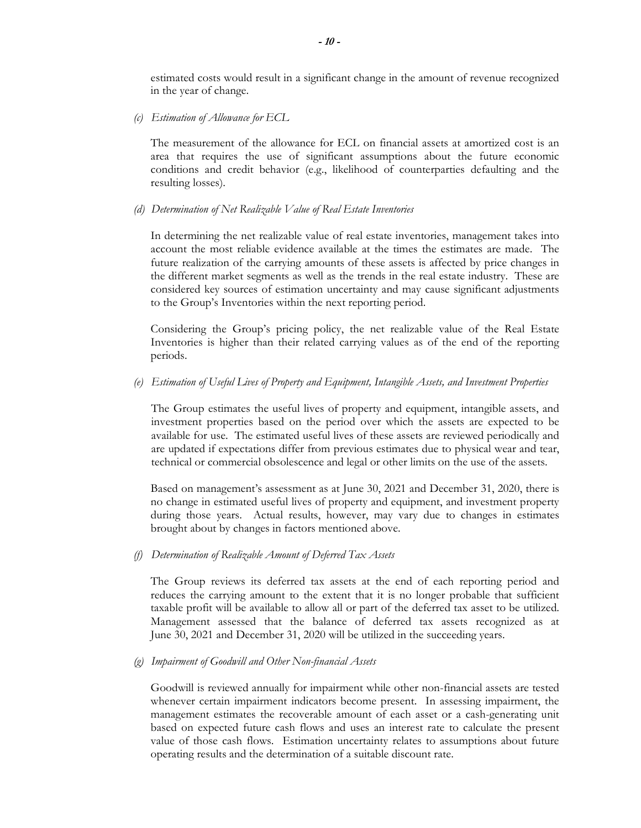estimated costs would result in a significant change in the amount of revenue recognized in the year of change.

*(c) Estimation of Allowance for ECL* 

The measurement of the allowance for ECL on financial assets at amortized cost is an area that requires the use of significant assumptions about the future economic conditions and credit behavior (e.g., likelihood of counterparties defaulting and the resulting losses).

#### *(d) Determination of Net Realizable Value of Real Estate Inventories*

In determining the net realizable value of real estate inventories, management takes into account the most reliable evidence available at the times the estimates are made. The future realization of the carrying amounts of these assets is affected by price changes in the different market segments as well as the trends in the real estate industry. These are considered key sources of estimation uncertainty and may cause significant adjustments to the Group's Inventories within the next reporting period.

Considering the Group's pricing policy, the net realizable value of the Real Estate Inventories is higher than their related carrying values as of the end of the reporting periods.

*(e) Estimation of Useful Lives of Property and Equipment, Intangible Assets, and Investment Properties* 

The Group estimates the useful lives of property and equipment, intangible assets, and investment properties based on the period over which the assets are expected to be available for use. The estimated useful lives of these assets are reviewed periodically and are updated if expectations differ from previous estimates due to physical wear and tear, technical or commercial obsolescence and legal or other limits on the use of the assets.

Based on management's assessment as at June 30, 2021 and December 31, 2020, there is no change in estimated useful lives of property and equipment, and investment property during those years. Actual results, however, may vary due to changes in estimates brought about by changes in factors mentioned above.

#### *(f) Determination of Realizable Amount of Deferred Tax Assets*

The Group reviews its deferred tax assets at the end of each reporting period and reduces the carrying amount to the extent that it is no longer probable that sufficient taxable profit will be available to allow all or part of the deferred tax asset to be utilized. Management assessed that the balance of deferred tax assets recognized as at June 30, 2021 and December 31, 2020 will be utilized in the succeeding years.

#### *(g) Impairment of Goodwill and Other Non-financial Assets*

Goodwill is reviewed annually for impairment while other non-financial assets are tested whenever certain impairment indicators become present. In assessing impairment, the management estimates the recoverable amount of each asset or a cash-generating unit based on expected future cash flows and uses an interest rate to calculate the present value of those cash flows. Estimation uncertainty relates to assumptions about future operating results and the determination of a suitable discount rate.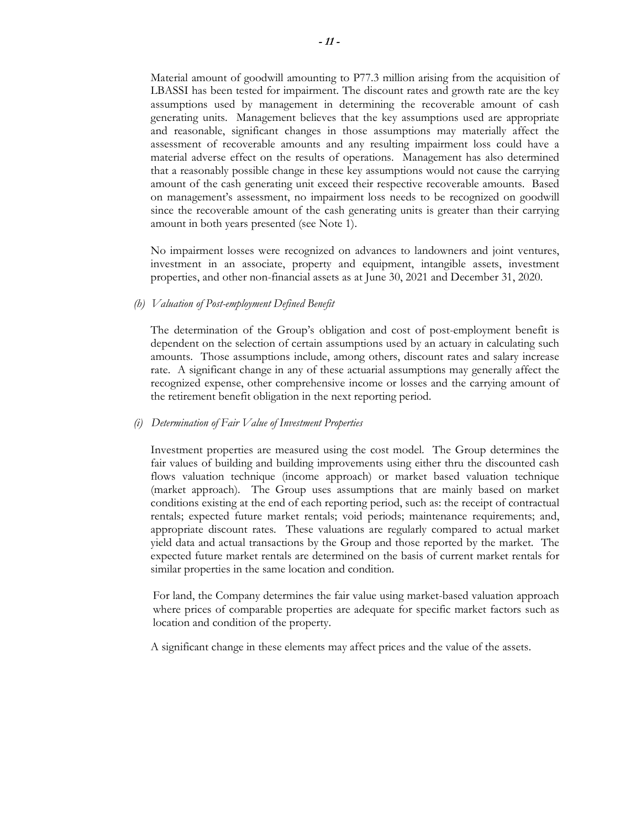Material amount of goodwill amounting to P77.3 million arising from the acquisition of LBASSI has been tested for impairment. The discount rates and growth rate are the key assumptions used by management in determining the recoverable amount of cash generating units. Management believes that the key assumptions used are appropriate and reasonable, significant changes in those assumptions may materially affect the assessment of recoverable amounts and any resulting impairment loss could have a material adverse effect on the results of operations. Management has also determined that a reasonably possible change in these key assumptions would not cause the carrying amount of the cash generating unit exceed their respective recoverable amounts. Based on management's assessment, no impairment loss needs to be recognized on goodwill since the recoverable amount of the cash generating units is greater than their carrying amount in both years presented (see Note 1).

No impairment losses were recognized on advances to landowners and joint ventures, investment in an associate, property and equipment, intangible assets, investment properties, and other non-financial assets as at June 30, 2021 and December 31, 2020.

### *(h) Valuation of Post-employment Defined Benefit*

The determination of the Group's obligation and cost of post-employment benefit is dependent on the selection of certain assumptions used by an actuary in calculating such amounts. Those assumptions include, among others, discount rates and salary increase rate. A significant change in any of these actuarial assumptions may generally affect the recognized expense, other comprehensive income or losses and the carrying amount of the retirement benefit obligation in the next reporting period.

#### *(i) Determination of Fair Value of Investment Properties*

Investment properties are measured using the cost model. The Group determines the fair values of building and building improvements using either thru the discounted cash flows valuation technique (income approach) or market based valuation technique (market approach). The Group uses assumptions that are mainly based on market conditions existing at the end of each reporting period, such as: the receipt of contractual rentals; expected future market rentals; void periods; maintenance requirements; and, appropriate discount rates. These valuations are regularly compared to actual market yield data and actual transactions by the Group and those reported by the market. The expected future market rentals are determined on the basis of current market rentals for similar properties in the same location and condition.

For land, the Company determines the fair value using market-based valuation approach where prices of comparable properties are adequate for specific market factors such as location and condition of the property.

A significant change in these elements may affect prices and the value of the assets.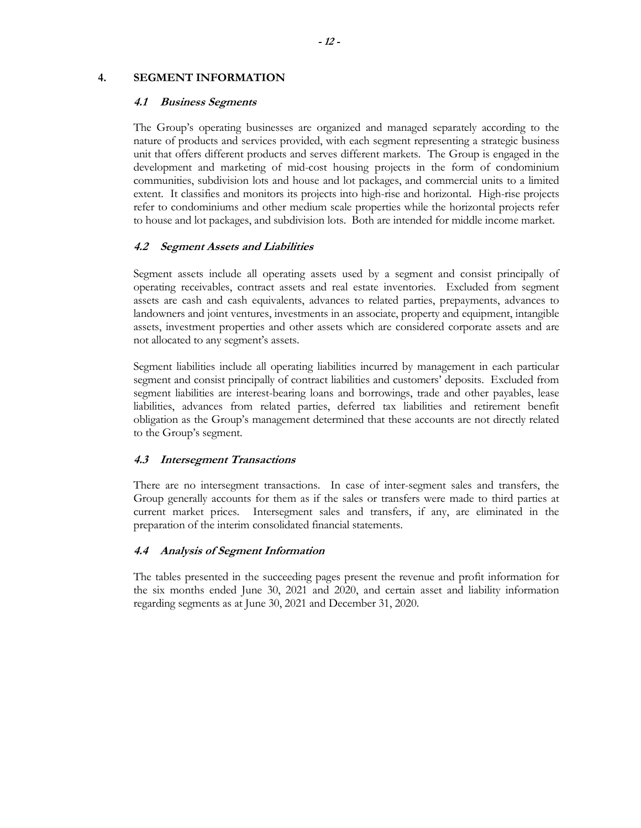### **4. SEGMENT INFORMATION**

#### **4.1 Business Segments**

The Group's operating businesses are organized and managed separately according to the nature of products and services provided, with each segment representing a strategic business unit that offers different products and serves different markets. The Group is engaged in the development and marketing of mid-cost housing projects in the form of condominium communities, subdivision lots and house and lot packages, and commercial units to a limited extent. It classifies and monitors its projects into high-rise and horizontal. High-rise projects refer to condominiums and other medium scale properties while the horizontal projects refer to house and lot packages, and subdivision lots. Both are intended for middle income market.

### **4.2 Segment Assets and Liabilities**

Segment assets include all operating assets used by a segment and consist principally of operating receivables, contract assets and real estate inventories. Excluded from segment assets are cash and cash equivalents, advances to related parties, prepayments, advances to landowners and joint ventures, investments in an associate, property and equipment, intangible assets, investment properties and other assets which are considered corporate assets and are not allocated to any segment's assets.

Segment liabilities include all operating liabilities incurred by management in each particular segment and consist principally of contract liabilities and customers' deposits. Excluded from segment liabilities are interest-bearing loans and borrowings, trade and other payables, lease liabilities, advances from related parties, deferred tax liabilities and retirement benefit obligation as the Group's management determined that these accounts are not directly related to the Group's segment.

### **4.3 Intersegment Transactions**

There are no intersegment transactions. In case of inter-segment sales and transfers, the Group generally accounts for them as if the sales or transfers were made to third parties at current market prices. Intersegment sales and transfers, if any, are eliminated in the preparation of the interim consolidated financial statements.

### **4.4 Analysis of Segment Information**

The tables presented in the succeeding pages present the revenue and profit information for the six months ended June 30, 2021 and 2020, and certain asset and liability information regarding segments as at June 30, 2021 and December 31, 2020.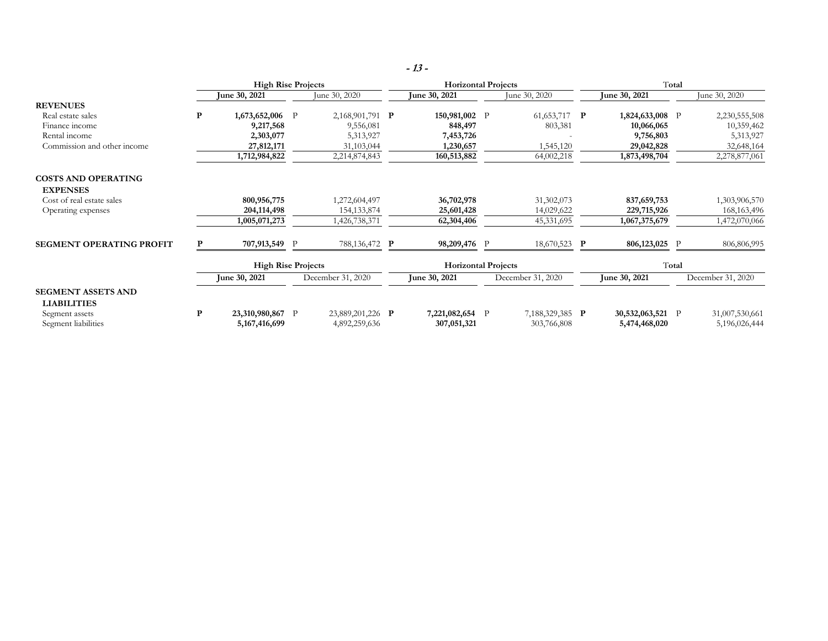|                                                 |   | <b>High Rise Projects</b>          |              |                                   | <b>Horizontal Projects</b>   |              |                                |       | Total                           |              |                                 |  |
|-------------------------------------------------|---|------------------------------------|--------------|-----------------------------------|------------------------------|--------------|--------------------------------|-------|---------------------------------|--------------|---------------------------------|--|
|                                                 |   | <b>June 30, 2021</b>               |              | June 30, 2020                     | June 30, 2021                |              | June 30, 2020                  |       | June 30, 2021                   |              | June 30, 2020                   |  |
| <b>REVENUES</b>                                 |   |                                    |              |                                   |                              |              |                                |       |                                 |              |                                 |  |
| Real estate sales                               | P | 1,673,652,006 P                    |              | 2,168,901,791 P                   | 150,981,002 P                |              | 61,653,717 $\mathbf{P}$        |       | 1,824,633,008 P                 |              | 2,230,555,508                   |  |
| Finance income                                  |   | 9,217,568                          |              | 9,556,081                         | 848,497                      |              | 803,381                        |       | 10,066,065                      |              | 10,359,462                      |  |
| Rental income                                   |   | 2,303,077                          |              | 5,313,927                         | 7,453,726                    |              |                                |       | 9,756,803                       |              | 5,313,927                       |  |
| Commission and other income                     |   | 27,812,171                         |              | 31,103,044                        | 1,230,657                    |              | 1,545,120                      |       | 29,042,828                      |              | 32,648,164                      |  |
|                                                 |   | 1,712,984,822                      |              | 2,214,874,843                     | 160,513,882                  |              | 64,002,218                     |       | 1,873,498,704                   |              | 2,278,877,061                   |  |
| <b>COSTS AND OPERATING</b>                      |   |                                    |              |                                   |                              |              |                                |       |                                 |              |                                 |  |
| <b>EXPENSES</b>                                 |   |                                    |              |                                   |                              |              |                                |       |                                 |              |                                 |  |
| Cost of real estate sales                       |   | 800,956,775                        |              | 1,272,604,497                     | 36,702,978                   |              | 31,302,073                     |       | 837,659,753                     |              | 1,303,906,570                   |  |
| Operating expenses                              |   | 204, 114, 498                      |              | 154, 133, 874                     | 25,601,428                   |              | 14,029,622                     |       | 229,715,926                     |              | 168, 163, 496                   |  |
|                                                 |   | 1,005,071,273                      |              | 1,426,738,371                     | 62,304,406                   |              | 45,331,695                     |       | 1,067,375,679                   |              | 1,472,070,066                   |  |
| <b>SEGMENT OPERATING PROFIT</b>                 | P | 707,913,549 P                      |              | 788,136,472 P                     | 98,209,476 P                 |              | 18,670,523 P                   |       | 806,123,025 P                   |              | 806,806,995                     |  |
|                                                 |   | <b>High Rise Projects</b>          |              |                                   | <b>Horizontal Projects</b>   |              |                                | Total |                                 |              |                                 |  |
|                                                 |   | June 30, 2021                      |              | December 31, 2020                 | June 30, 2021                |              | December 31, 2020              |       | June 30, 2021                   |              | December 31, 2020               |  |
| <b>SEGMENT ASSETS AND</b><br><b>LIABILITIES</b> |   |                                    |              |                                   |                              |              |                                |       |                                 |              |                                 |  |
| Segment assets<br>Segment liabilities           | P | 23,310,980,867<br>5, 167, 416, 699 | $\mathbf{P}$ | 23,889,201,226 P<br>4,892,259,636 | 7,221,082,654<br>307,051,321 | $\mathbf{P}$ | 7,188,329,385 P<br>303,766,808 |       | 30,532,063,521<br>5,474,468,020 | $\mathbf{P}$ | 31,007,530,661<br>5,196,026,444 |  |

**- <sup>13</sup> -**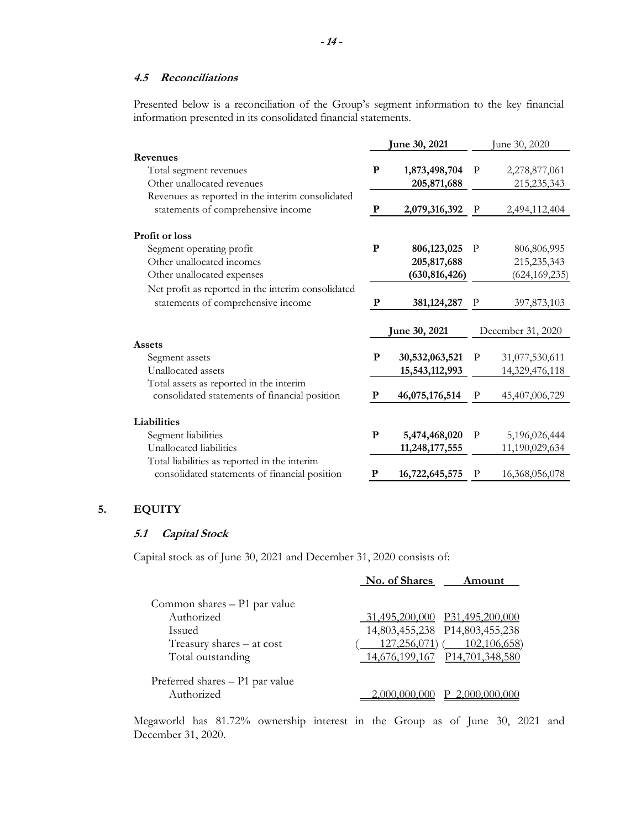# **4.5 Reconciliations**

Presented below is a reconciliation of the Group's segment information to the key financial information presented in its consolidated financial statements.

|                                                                                          | <b>June 30, 2021</b> |                      | une 30, 2020 |                   |  |
|------------------------------------------------------------------------------------------|----------------------|----------------------|--------------|-------------------|--|
| Revenues                                                                                 |                      |                      |              |                   |  |
| Total segment revenues                                                                   | ${\bf P}$            | 1,873,498,704        | $\mathbf P$  | 2,278,877,061     |  |
| Other unallocated revenues                                                               |                      | 205,871,688          |              | 215,235,343       |  |
| Revenues as reported in the interim consolidated                                         |                      |                      |              |                   |  |
| statements of comprehensive income                                                       | P                    | 2,079,316,392        | $\mathbf P$  | 2,494,112,404     |  |
| <b>Profit or loss</b>                                                                    |                      |                      |              |                   |  |
| Segment operating profit                                                                 | ${\bf P}$            | 806,123,025          | P            | 806,806,995       |  |
| Other unallocated incomes                                                                |                      | 205, 817, 688        |              | 215, 235, 343     |  |
| Other unallocated expenses                                                               |                      | (630, 816, 426)      |              | (624, 169, 235)   |  |
| Net profit as reported in the interim consolidated                                       |                      |                      |              |                   |  |
| statements of comprehensive income                                                       | P                    | 381, 124, 287        | P            | 397,873,103       |  |
|                                                                                          |                      | <b>June 30, 2021</b> |              | December 31, 2020 |  |
| Assets                                                                                   |                      |                      |              |                   |  |
| Segment assets                                                                           | P                    | 30,532,063,521       | $\mathbf{P}$ | 31,077,530,611    |  |
| Unallocated assets                                                                       |                      | 15,543,112,993       |              | 14,329,476,118    |  |
| Total assets as reported in the interim<br>consolidated statements of financial position | P                    | 46,075,176,514       | $\mathbf{P}$ | 45,407,006,729    |  |
|                                                                                          |                      |                      |              |                   |  |
| Liabilities                                                                              |                      |                      |              |                   |  |
| Segment liabilities                                                                      | ${\bf P}$            | 5,474,468,020        | $\mathbf P$  | 5,196,026,444     |  |
| Unallocated liabilities                                                                  |                      | 11,248,177,555       |              | 11,190,029,634    |  |
| Total liabilities as reported in the interim                                             |                      |                      |              |                   |  |
| consolidated statements of financial position                                            | P                    | 16,722,645,575       | P            | 16,368,056,078    |  |

# **5. EQUITY**

# **5.1 Capital Stock**

Capital stock as of June 30, 2021 and December 31, 2020 consists of:

|                                 | No. of Shares<br>Amount          |
|---------------------------------|----------------------------------|
| Common shares - P1 par value    |                                  |
| Authorized                      | P31,495,200,000<br>1.495.200.000 |
| <b>Issued</b>                   | 14,803,455,238 P14,803,455,238   |
| Treasury shares - at cost       | 102,106,658)<br>$127,256,071$ (  |
| Total outstanding               | 14,676,199,167 P14,701,348,580   |
| Preferred shares - P1 par value |                                  |
| Authorized                      | 2,000,000                        |

Megaworld has 81.72% ownership interest in the Group as of June 30, 2021 and December 31, 2020.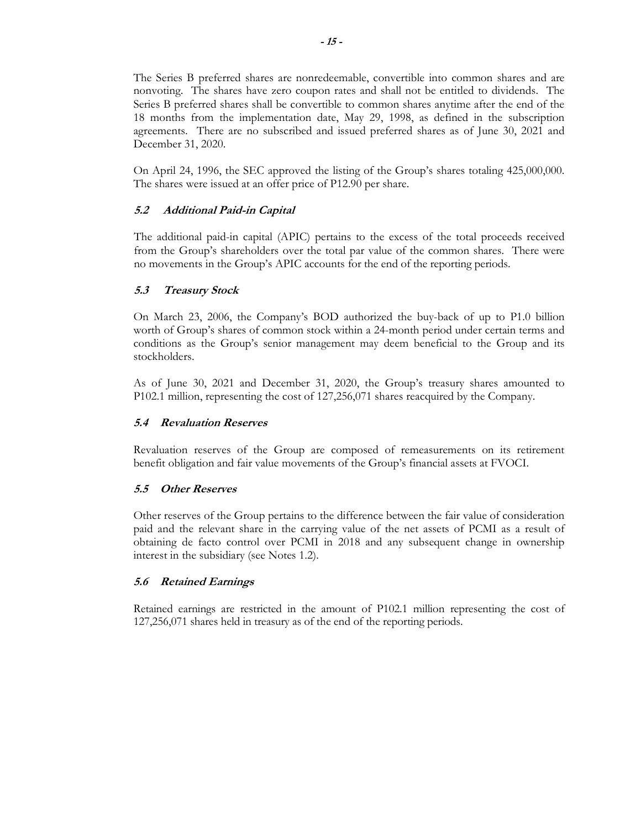The Series B preferred shares are nonredeemable, convertible into common shares and are nonvoting. The shares have zero coupon rates and shall not be entitled to dividends. The Series B preferred shares shall be convertible to common shares anytime after the end of the 18 months from the implementation date, May 29, 1998, as defined in the subscription agreements. There are no subscribed and issued preferred shares as of June 30, 2021 and December 31, 2020.

On April 24, 1996, the SEC approved the listing of the Group's shares totaling 425,000,000. The shares were issued at an offer price of P12.90 per share.

# **5.2 Additional Paid-in Capital**

The additional paid-in capital (APIC) pertains to the excess of the total proceeds received from the Group's shareholders over the total par value of the common shares. There were no movements in the Group's APIC accounts for the end of the reporting periods.

# **5.3 Treasury Stock**

On March 23, 2006, the Company's BOD authorized the buy-back of up to P1.0 billion worth of Group's shares of common stock within a 24-month period under certain terms and conditions as the Group's senior management may deem beneficial to the Group and its stockholders.

As of June 30, 2021 and December 31, 2020, the Group's treasury shares amounted to P102.1 million, representing the cost of 127,256,071 shares reacquired by the Company.

### **5.4 Revaluation Reserves**

Revaluation reserves of the Group are composed of remeasurements on its retirement benefit obligation and fair value movements of the Group's financial assets at FVOCI.

### **5.5 Other Reserves**

Other reserves of the Group pertains to the difference between the fair value of consideration paid and the relevant share in the carrying value of the net assets of PCMI as a result of obtaining de facto control over PCMI in 2018 and any subsequent change in ownership interest in the subsidiary (see Notes 1.2).

### **5.6 Retained Earnings**

Retained earnings are restricted in the amount of P102.1 million representing the cost of 127,256,071 shares held in treasury as of the end of the reporting periods.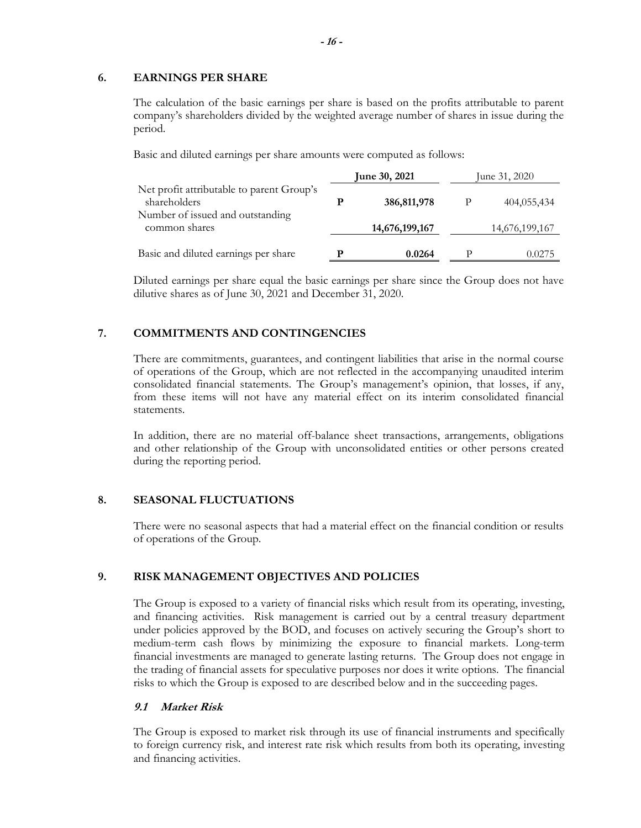### **6. EARNINGS PER SHARE**

The calculation of the basic earnings per share is based on the profits attributable to parent company's shareholders divided by the weighted average number of shares in issue during the period.

Basic and diluted earnings per share amounts were computed as follows:

|                                                           | <b>June 30, 2021</b> |                | June 31, 2020 |                |
|-----------------------------------------------------------|----------------------|----------------|---------------|----------------|
| Net profit attributable to parent Group's<br>shareholders |                      | 386, 811, 978  |               | 404,055,434    |
| Number of issued and outstanding<br>common shares         |                      | 14,676,199,167 |               | 14,676,199,167 |
| Basic and diluted earnings per share                      |                      | 0.0264         | p             | 0.0275         |

Diluted earnings per share equal the basic earnings per share since the Group does not have dilutive shares as of June 30, 2021 and December 31, 2020.

# **7. COMMITMENTS AND CONTINGENCIES**

There are commitments, guarantees, and contingent liabilities that arise in the normal course of operations of the Group, which are not reflected in the accompanying unaudited interim consolidated financial statements. The Group's management's opinion, that losses, if any, from these items will not have any material effect on its interim consolidated financial statements.

In addition, there are no material off-balance sheet transactions, arrangements, obligations and other relationship of the Group with unconsolidated entities or other persons created during the reporting period.

# **8. SEASONAL FLUCTUATIONS**

There were no seasonal aspects that had a material effect on the financial condition or results of operations of the Group.

# **9. RISK MANAGEMENT OBJECTIVES AND POLICIES**

The Group is exposed to a variety of financial risks which result from its operating, investing, and financing activities. Risk management is carried out by a central treasury department under policies approved by the BOD, and focuses on actively securing the Group's short to medium-term cash flows by minimizing the exposure to financial markets. Long-term financial investments are managed to generate lasting returns. The Group does not engage in the trading of financial assets for speculative purposes nor does it write options. The financial risks to which the Group is exposed to are described below and in the succeeding pages.

# **9.1 Market Risk**

The Group is exposed to market risk through its use of financial instruments and specifically to foreign currency risk, and interest rate risk which results from both its operating, investing and financing activities.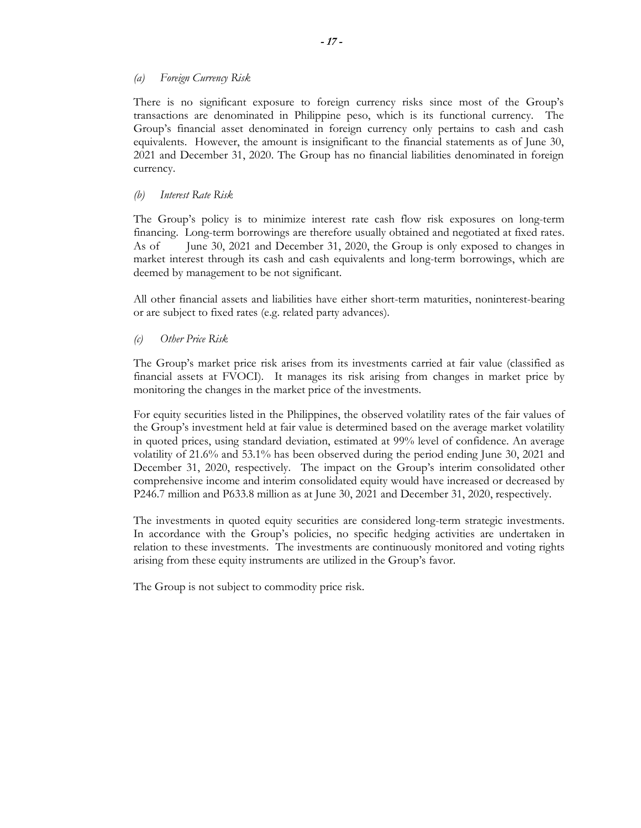# *(a) Foreign Currency Risk*

There is no significant exposure to foreign currency risks since most of the Group's transactions are denominated in Philippine peso, which is its functional currency. The Group's financial asset denominated in foreign currency only pertains to cash and cash equivalents. However, the amount is insignificant to the financial statements as of June 30, 2021 and December 31, 2020. The Group has no financial liabilities denominated in foreign currency.

### *(b) Interest Rate Risk*

The Group's policy is to minimize interest rate cash flow risk exposures on long-term financing. Long-term borrowings are therefore usually obtained and negotiated at fixed rates. As of June 30, 2021 and December 31, 2020, the Group is only exposed to changes in market interest through its cash and cash equivalents and long-term borrowings, which are deemed by management to be not significant.

All other financial assets and liabilities have either short-term maturities, noninterest-bearing or are subject to fixed rates (e.g. related party advances).

# *(c) Other Price Risk*

The Group's market price risk arises from its investments carried at fair value (classified as financial assets at FVOCI). It manages its risk arising from changes in market price by monitoring the changes in the market price of the investments.

For equity securities listed in the Philippines, the observed volatility rates of the fair values of the Group's investment held at fair value is determined based on the average market volatility in quoted prices, using standard deviation, estimated at 99% level of confidence. An average volatility of 21.6% and 53.1% has been observed during the period ending June 30, 2021 and December 31, 2020, respectively. The impact on the Group's interim consolidated other comprehensive income and interim consolidated equity would have increased or decreased by P246.7 million and P633.8 million as at June 30, 2021 and December 31, 2020, respectively.

The investments in quoted equity securities are considered long-term strategic investments. In accordance with the Group's policies, no specific hedging activities are undertaken in relation to these investments. The investments are continuously monitored and voting rights arising from these equity instruments are utilized in the Group's favor.

The Group is not subject to commodity price risk.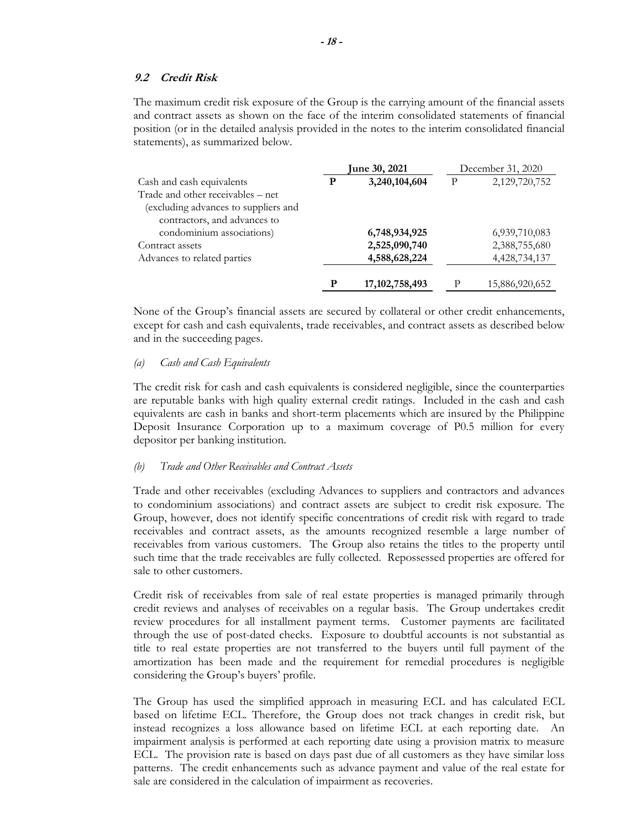### **9.2 Credit Risk**

The maximum credit risk exposure of the Group is the carrying amount of the financial assets and contract assets as shown on the face of the interim consolidated statements of financial position (or in the detailed analysis provided in the notes to the interim consolidated financial statements), as summarized below.

|                                      | June 30, 2021 |                   |   | December 31, 2020 |
|--------------------------------------|---------------|-------------------|---|-------------------|
| Cash and cash equivalents            | P             | 3,240,104,604     | P | 2,129,720,752     |
| Trade and other receivables – net    |               |                   |   |                   |
| (excluding advances to suppliers and |               |                   |   |                   |
| contractors, and advances to         |               |                   |   |                   |
| condominium associations)            |               | 6,748,934,925     |   | 6,939,710,083     |
| Contract assets                      |               | 2,525,090,740     |   | 2,388,755,680     |
| Advances to related parties          |               | 4,588,628,224     |   | 4,428,734,137     |
|                                      | p             | 17, 102, 758, 493 |   | 15,886,920,652    |

None of the Group's financial assets are secured by collateral or other credit enhancements, except for cash and cash equivalents, trade receivables, and contract assets as described below and in the succeeding pages.

### *(a) Cash and Cash Equivalents*

The credit risk for cash and cash equivalents is considered negligible, since the counterparties are reputable banks with high quality external credit ratings. Included in the cash and cash equivalents are cash in banks and short-term placements which are insured by the Philippine Deposit Insurance Corporation up to a maximum coverage of P0.5 million for every depositor per banking institution.

#### *(b) Trade and Other Receivables and Contract Assets*

Trade and other receivables (excluding Advances to suppliers and contractors and advances to condominium associations) and contract assets are subject to credit risk exposure. The Group, however, does not identify specific concentrations of credit risk with regard to trade receivables and contract assets, as the amounts recognized resemble a large number of receivables from various customers. The Group also retains the titles to the property until such time that the trade receivables are fully collected. Repossessed properties are offered for sale to other customers.

Credit risk of receivables from sale of real estate properties is managed primarily through credit reviews and analyses of receivables on a regular basis. The Group undertakes credit review procedures for all installment payment terms. Customer payments are facilitated through the use of post-dated checks. Exposure to doubtful accounts is not substantial as title to real estate properties are not transferred to the buyers until full payment of the amortization has been made and the requirement for remedial procedures is negligible considering the Group's buyers' profile.

The Group has used the simplified approach in measuring ECL and has calculated ECL based on lifetime ECL. Therefore, the Group does not track changes in credit risk, but instead recognizes a loss allowance based on lifetime ECL at each reporting date. An impairment analysis is performed at each reporting date using a provision matrix to measure ECL. The provision rate is based on days past due of all customers as they have similar loss patterns. The credit enhancements such as advance payment and value of the real estate for sale are considered in the calculation of impairment as recoveries.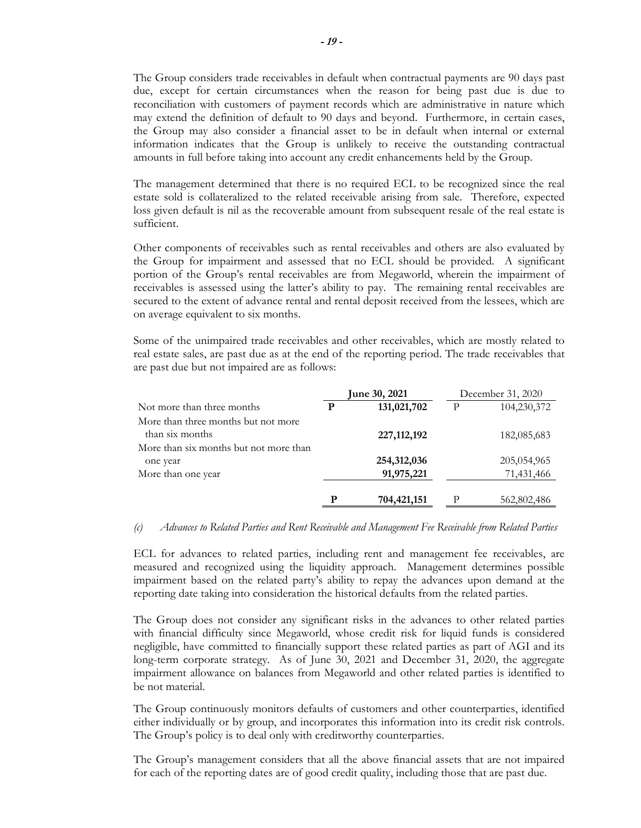The Group considers trade receivables in default when contractual payments are 90 days past due, except for certain circumstances when the reason for being past due is due to reconciliation with customers of payment records which are administrative in nature which may extend the definition of default to 90 days and beyond. Furthermore, in certain cases, the Group may also consider a financial asset to be in default when internal or external information indicates that the Group is unlikely to receive the outstanding contractual amounts in full before taking into account any credit enhancements held by the Group.

The management determined that there is no required ECL to be recognized since the real estate sold is collateralized to the related receivable arising from sale. Therefore, expected loss given default is nil as the recoverable amount from subsequent resale of the real estate is sufficient.

Other components of receivables such as rental receivables and others are also evaluated by the Group for impairment and assessed that no ECL should be provided. A significant portion of the Group's rental receivables are from Megaworld, wherein the impairment of receivables is assessed using the latter's ability to pay. The remaining rental receivables are secured to the extent of advance rental and rental deposit received from the lessees, which are on average equivalent to six months.

Some of the unimpaired trade receivables and other receivables, which are mostly related to real estate sales, are past due as at the end of the reporting period. The trade receivables that are past due but not impaired are as follows:

|                                        | <b>June 30, 2021</b> |               | December 31, 2020 |             |
|----------------------------------------|----------------------|---------------|-------------------|-------------|
| Not more than three months             | P                    | 131,021,702   | P                 | 104,230,372 |
| More than three months but not more    |                      |               |                   |             |
| than six months                        |                      | 227, 112, 192 |                   | 182,085,683 |
| More than six months but not more than |                      |               |                   |             |
| one year                               |                      | 254,312,036   |                   | 205,054,965 |
| More than one year                     |                      | 91,975,221    |                   | 71,431,466  |
|                                        |                      |               |                   |             |
|                                        | P                    | 704,421,151   | P                 | 562,802,486 |

#### *(c) Advances to Related Parties and Rent Receivable and Management Fee Receivable from Related Parties*

ECL for advances to related parties, including rent and management fee receivables, are measured and recognized using the liquidity approach. Management determines possible impairment based on the related party's ability to repay the advances upon demand at the reporting date taking into consideration the historical defaults from the related parties.

The Group does not consider any significant risks in the advances to other related parties with financial difficulty since Megaworld, whose credit risk for liquid funds is considered negligible, have committed to financially support these related parties as part of AGI and its long-term corporate strategy. As of June 30, 2021 and December 31, 2020, the aggregate impairment allowance on balances from Megaworld and other related parties is identified to be not material.

The Group continuously monitors defaults of customers and other counterparties, identified either individually or by group, and incorporates this information into its credit risk controls. The Group's policy is to deal only with creditworthy counterparties.

The Group's management considers that all the above financial assets that are not impaired for each of the reporting dates are of good credit quality, including those that are past due.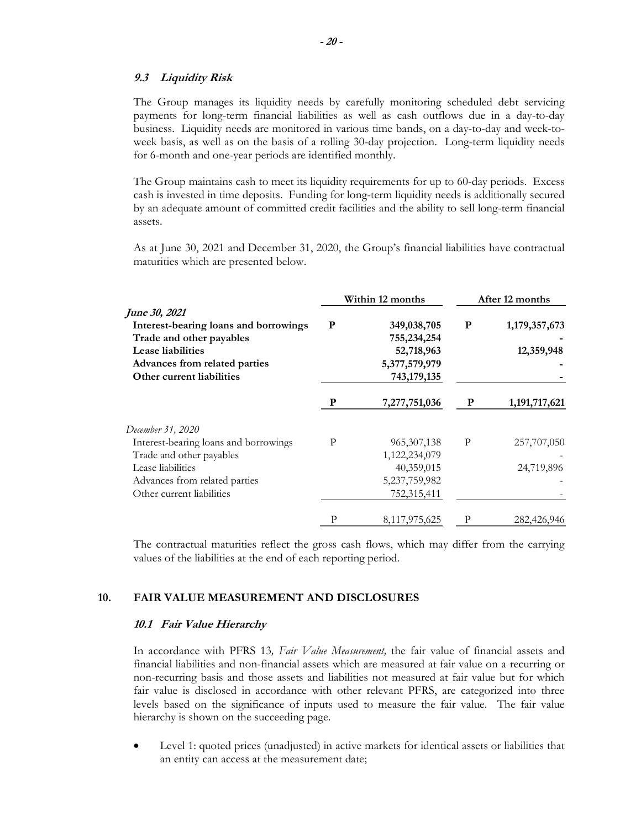### **9.3 Liquidity Risk**

The Group manages its liquidity needs by carefully monitoring scheduled debt servicing payments for long-term financial liabilities as well as cash outflows due in a day-to-day business. Liquidity needs are monitored in various time bands, on a day-to-day and week-toweek basis, as well as on the basis of a rolling 30-day projection. Long-term liquidity needs for 6-month and one-year periods are identified monthly.

The Group maintains cash to meet its liquidity requirements for up to 60-day periods. Excess cash is invested in time deposits. Funding for long-term liquidity needs is additionally secured by an adequate amount of committed credit facilities and the ability to sell long-term financial assets.

As at June 30, 2021 and December 31, 2020, the Group's financial liabilities have contractual maturities which are presented below.

|                                       | Within 12 months |               | After 12 months |               |
|---------------------------------------|------------------|---------------|-----------------|---------------|
| June 30, 2021                         |                  |               |                 |               |
| Interest-bearing loans and borrowings | P                | 349,038,705   | P               | 1,179,357,673 |
| Trade and other payables              |                  | 755,234,254   |                 |               |
| Lease liabilities                     |                  | 52,718,963    |                 | 12,359,948    |
| Advances from related parties         |                  | 5,377,579,979 |                 |               |
| Other current liabilities             |                  | 743,179,135   |                 |               |
|                                       | P                | 7,277,751,036 | $\mathbf P$     | 1,191,717,621 |
| December 31, 2020                     |                  |               |                 |               |
| Interest-bearing loans and borrowings | P                | 965, 307, 138 | P               | 257,707,050   |
| Trade and other payables              |                  | 1,122,234,079 |                 |               |
| Lease liabilities                     |                  | 40,359,015    |                 | 24,719,896    |
| Advances from related parties         |                  | 5,237,759,982 |                 |               |
| Other current liabilities             |                  | 752,315,411   |                 |               |
|                                       | Р                | 8,117,975,625 | P               | 282,426,946   |

The contractual maturities reflect the gross cash flows, which may differ from the carrying values of the liabilities at the end of each reporting period.

# **10. FAIR VALUE MEASUREMENT AND DISCLOSURES**

### **10.1 Fair Value Hierarchy**

In accordance with PFRS 13*, Fair Value Measurement,* the fair value of financial assets and financial liabilities and non-financial assets which are measured at fair value on a recurring or non-recurring basis and those assets and liabilities not measured at fair value but for which fair value is disclosed in accordance with other relevant PFRS, are categorized into three levels based on the significance of inputs used to measure the fair value. The fair value hierarchy is shown on the succeeding page.

 Level 1: quoted prices (unadjusted) in active markets for identical assets or liabilities that an entity can access at the measurement date;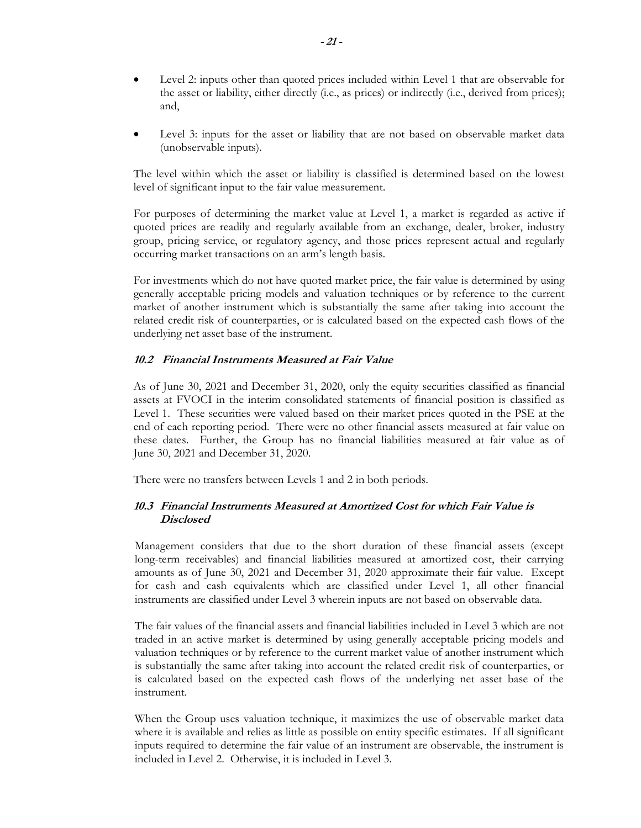- Level 2: inputs other than quoted prices included within Level 1 that are observable for the asset or liability, either directly (i.e., as prices) or indirectly (i.e., derived from prices); and,
- Level 3: inputs for the asset or liability that are not based on observable market data (unobservable inputs).

The level within which the asset or liability is classified is determined based on the lowest level of significant input to the fair value measurement.

For purposes of determining the market value at Level 1, a market is regarded as active if quoted prices are readily and regularly available from an exchange, dealer, broker, industry group, pricing service, or regulatory agency, and those prices represent actual and regularly occurring market transactions on an arm's length basis.

For investments which do not have quoted market price, the fair value is determined by using generally acceptable pricing models and valuation techniques or by reference to the current market of another instrument which is substantially the same after taking into account the related credit risk of counterparties, or is calculated based on the expected cash flows of the underlying net asset base of the instrument.

# **10.2 Financial Instruments Measured at Fair Value**

As of June 30, 2021 and December 31, 2020, only the equity securities classified as financial assets at FVOCI in the interim consolidated statements of financial position is classified as Level 1. These securities were valued based on their market prices quoted in the PSE at the end of each reporting period. There were no other financial assets measured at fair value on these dates. Further, the Group has no financial liabilities measured at fair value as of June 30, 2021 and December 31, 2020.

There were no transfers between Levels 1 and 2 in both periods.

# **10.3 Financial Instruments Measured at Amortized Cost for which Fair Value is Disclosed**

Management considers that due to the short duration of these financial assets (except long-term receivables) and financial liabilities measured at amortized cost, their carrying amounts as of June 30, 2021 and December 31, 2020 approximate their fair value. Except for cash and cash equivalents which are classified under Level 1, all other financial instruments are classified under Level 3 wherein inputs are not based on observable data.

The fair values of the financial assets and financial liabilities included in Level 3 which are not traded in an active market is determined by using generally acceptable pricing models and valuation techniques or by reference to the current market value of another instrument which is substantially the same after taking into account the related credit risk of counterparties, or is calculated based on the expected cash flows of the underlying net asset base of the instrument.

When the Group uses valuation technique, it maximizes the use of observable market data where it is available and relies as little as possible on entity specific estimates. If all significant inputs required to determine the fair value of an instrument are observable, the instrument is included in Level 2. Otherwise, it is included in Level 3.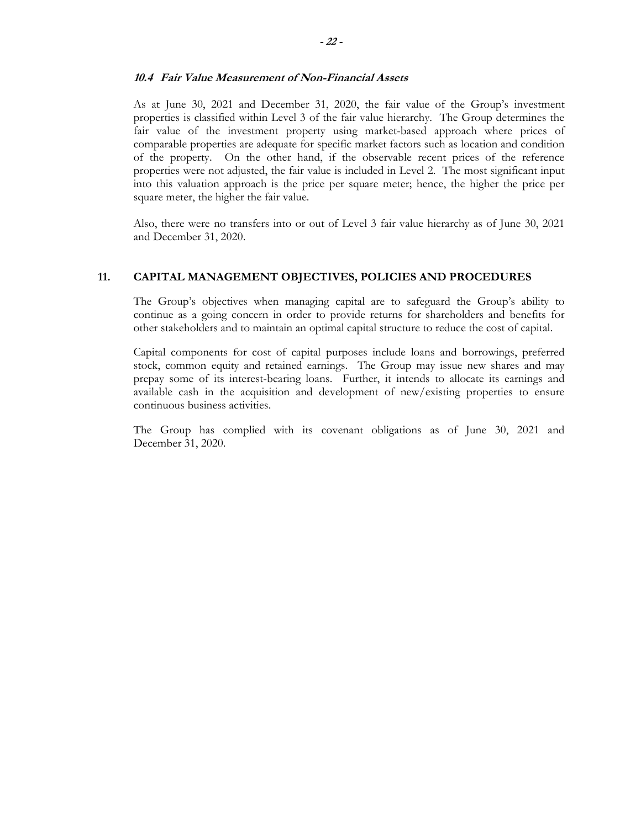### **10.4 Fair Value Measurement of Non-Financial Assets**

As at June 30, 2021 and December 31, 2020, the fair value of the Group's investment properties is classified within Level 3 of the fair value hierarchy. The Group determines the fair value of the investment property using market-based approach where prices of comparable properties are adequate for specific market factors such as location and condition of the property. On the other hand, if the observable recent prices of the reference properties were not adjusted, the fair value is included in Level 2. The most significant input into this valuation approach is the price per square meter; hence, the higher the price per square meter, the higher the fair value.

Also, there were no transfers into or out of Level 3 fair value hierarchy as of June 30, 2021 and December 31, 2020.

### **11. CAPITAL MANAGEMENT OBJECTIVES, POLICIES AND PROCEDURES**

The Group's objectives when managing capital are to safeguard the Group's ability to continue as a going concern in order to provide returns for shareholders and benefits for other stakeholders and to maintain an optimal capital structure to reduce the cost of capital.

Capital components for cost of capital purposes include loans and borrowings, preferred stock, common equity and retained earnings. The Group may issue new shares and may prepay some of its interest-bearing loans. Further, it intends to allocate its earnings and available cash in the acquisition and development of new/existing properties to ensure continuous business activities.

The Group has complied with its covenant obligations as of June 30, 2021 and December 31, 2020.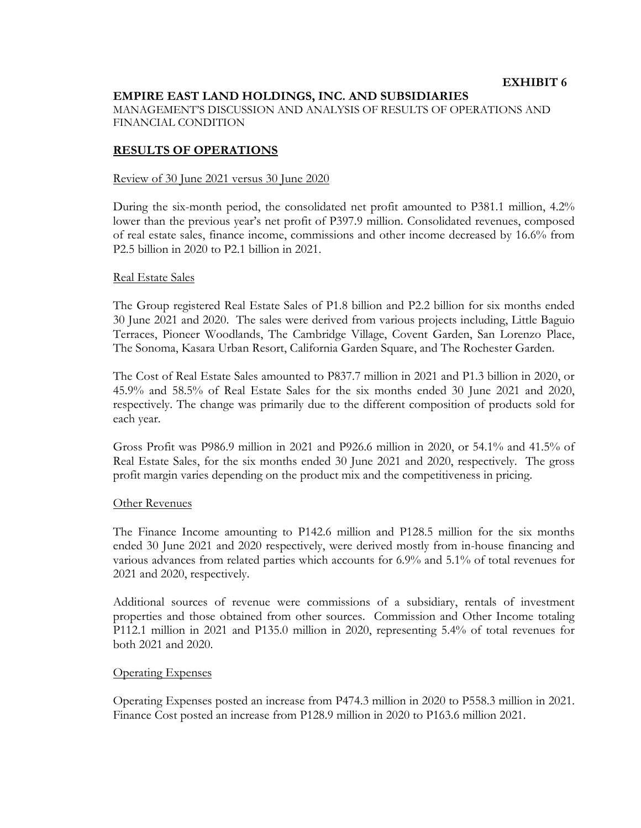# **EMPIRE EAST LAND HOLDINGS, INC. AND SUBSIDIARIES**

MANAGEMENT'S DISCUSSION AND ANALYSIS OF RESULTS OF OPERATIONS AND FINANCIAL CONDITION

# **RESULTS OF OPERATIONS**

### Review of 30 June 2021 versus 30 June 2020

During the six-month period, the consolidated net profit amounted to P381.1 million, 4.2% lower than the previous year's net profit of P397.9 million. Consolidated revenues, composed of real estate sales, finance income, commissions and other income decreased by 16.6% from P2.5 billion in 2020 to P2.1 billion in 2021.

### Real Estate Sales

The Group registered Real Estate Sales of P1.8 billion and P2.2 billion for six months ended 30 June 2021 and 2020. The sales were derived from various projects including, Little Baguio Terraces, Pioneer Woodlands, The Cambridge Village, Covent Garden, San Lorenzo Place, The Sonoma, Kasara Urban Resort, California Garden Square, and The Rochester Garden.

The Cost of Real Estate Sales amounted to P837.7 million in 2021 and P1.3 billion in 2020, or 45.9% and 58.5% of Real Estate Sales for the six months ended 30 June 2021 and 2020, respectively. The change was primarily due to the different composition of products sold for each year.

Gross Profit was P986.9 million in 2021 and P926.6 million in 2020, or 54.1% and 41.5% of Real Estate Sales, for the six months ended 30 June 2021 and 2020, respectively. The gross profit margin varies depending on the product mix and the competitiveness in pricing.

### Other Revenues

The Finance Income amounting to P142.6 million and P128.5 million for the six months ended 30 June 2021 and 2020 respectively, were derived mostly from in-house financing and various advances from related parties which accounts for 6.9% and 5.1% of total revenues for 2021 and 2020, respectively.

Additional sources of revenue were commissions of a subsidiary, rentals of investment properties and those obtained from other sources. Commission and Other Income totaling P112.1 million in 2021 and P135.0 million in 2020, representing 5.4% of total revenues for both 2021 and 2020.

### Operating Expenses

Operating Expenses posted an increase from P474.3 million in 2020 to P558.3 million in 2021. Finance Cost posted an increase from P128.9 million in 2020 to P163.6 million 2021.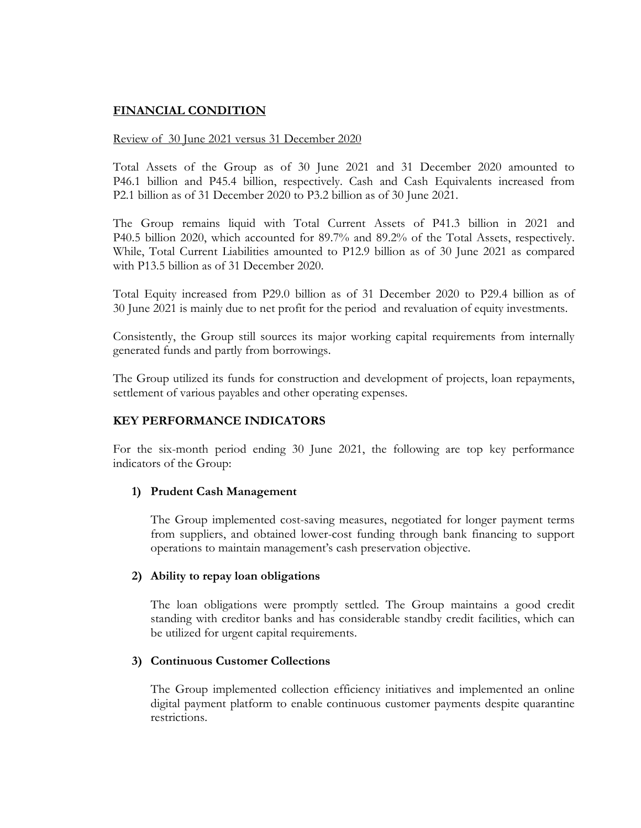# **FINANCIAL CONDITION**

# Review of 30 June 2021 versus 31 December 2020

Total Assets of the Group as of 30 June 2021 and 31 December 2020 amounted to P46.1 billion and P45.4 billion, respectively. Cash and Cash Equivalents increased from P2.1 billion as of 31 December 2020 to P3.2 billion as of 30 June 2021.

The Group remains liquid with Total Current Assets of P41.3 billion in 2021 and P40.5 billion 2020, which accounted for 89.7% and 89.2% of the Total Assets, respectively. While, Total Current Liabilities amounted to P12.9 billion as of 30 June 2021 as compared with P13.5 billion as of 31 December 2020.

Total Equity increased from P29.0 billion as of 31 December 2020 to P29.4 billion as of 30 June 2021 is mainly due to net profit for the period and revaluation of equity investments.

Consistently, the Group still sources its major working capital requirements from internally generated funds and partly from borrowings.

The Group utilized its funds for construction and development of projects, loan repayments, settlement of various payables and other operating expenses.

# **KEY PERFORMANCE INDICATORS**

For the six-month period ending 30 June 2021, the following are top key performance indicators of the Group:

# **1) Prudent Cash Management**

The Group implemented cost-saving measures, negotiated for longer payment terms from suppliers, and obtained lower-cost funding through bank financing to support operations to maintain management's cash preservation objective.

# **2) Ability to repay loan obligations**

The loan obligations were promptly settled. The Group maintains a good credit standing with creditor banks and has considerable standby credit facilities, which can be utilized for urgent capital requirements.

# **3) Continuous Customer Collections**

The Group implemented collection efficiency initiatives and implemented an online digital payment platform to enable continuous customer payments despite quarantine restrictions.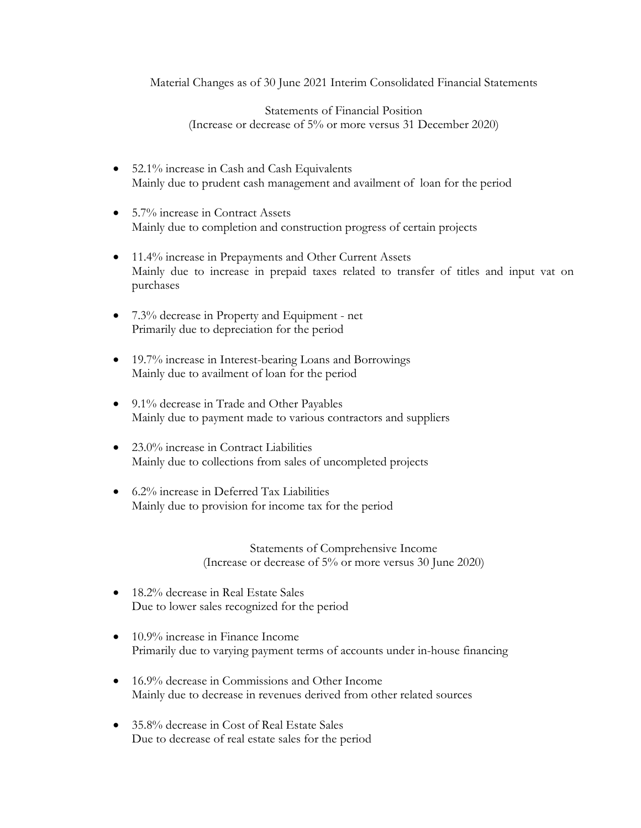Material Changes as of 30 June 2021 Interim Consolidated Financial Statements

Statements of Financial Position (Increase or decrease of 5% or more versus 31 December 2020)

- 52.1% increase in Cash and Cash Equivalents Mainly due to prudent cash management and availment of loan for the period
- 5.7% increase in Contract Assets Mainly due to completion and construction progress of certain projects
- 11.4% increase in Prepayments and Other Current Assets Mainly due to increase in prepaid taxes related to transfer of titles and input vat on purchases
- 7.3% decrease in Property and Equipment net Primarily due to depreciation for the period
- 19.7% increase in Interest-bearing Loans and Borrowings Mainly due to availment of loan for the period
- 9.1% decrease in Trade and Other Payables Mainly due to payment made to various contractors and suppliers
- 23.0% increase in Contract Liabilities Mainly due to collections from sales of uncompleted projects
- 6.2% increase in Deferred Tax Liabilities Mainly due to provision for income tax for the period

Statements of Comprehensive Income (Increase or decrease of 5% or more versus 30 June 2020)

- 18.2% decrease in Real Estate Sales Due to lower sales recognized for the period
- 10.9% increase in Finance Income Primarily due to varying payment terms of accounts under in-house financing
- 16.9% decrease in Commissions and Other Income Mainly due to decrease in revenues derived from other related sources
- 35.8% decrease in Cost of Real Estate Sales Due to decrease of real estate sales for the period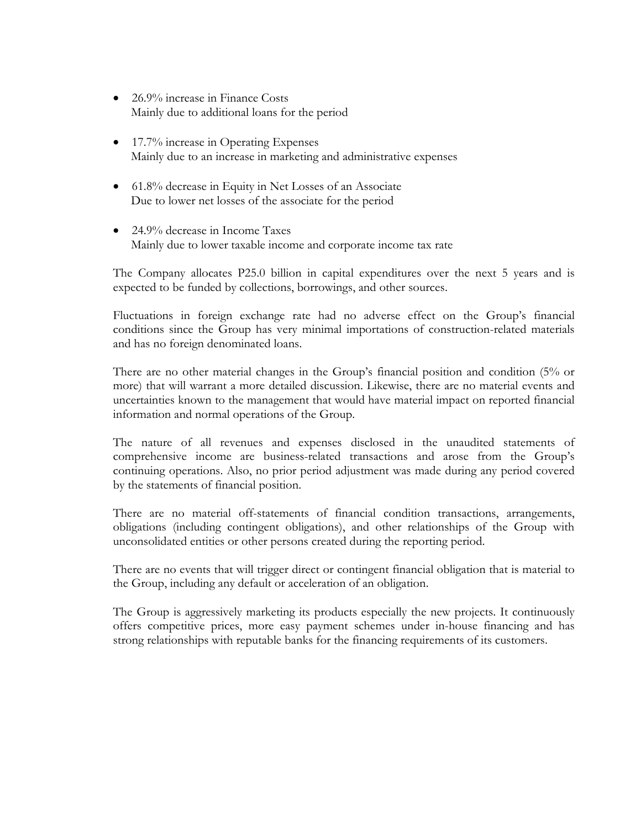- 26.9% increase in Finance Costs Mainly due to additional loans for the period
- 17.7% increase in Operating Expenses Mainly due to an increase in marketing and administrative expenses
- 61.8% decrease in Equity in Net Losses of an Associate Due to lower net losses of the associate for the period
- 24.9% decrease in Income Taxes Mainly due to lower taxable income and corporate income tax rate

The Company allocates P25.0 billion in capital expenditures over the next 5 years and is expected to be funded by collections, borrowings, and other sources.

Fluctuations in foreign exchange rate had no adverse effect on the Group's financial conditions since the Group has very minimal importations of construction-related materials and has no foreign denominated loans.

There are no other material changes in the Group's financial position and condition (5% or more) that will warrant a more detailed discussion. Likewise, there are no material events and uncertainties known to the management that would have material impact on reported financial information and normal operations of the Group.

The nature of all revenues and expenses disclosed in the unaudited statements of comprehensive income are business-related transactions and arose from the Group's continuing operations. Also, no prior period adjustment was made during any period covered by the statements of financial position.

There are no material off-statements of financial condition transactions, arrangements, obligations (including contingent obligations), and other relationships of the Group with unconsolidated entities or other persons created during the reporting period.

There are no events that will trigger direct or contingent financial obligation that is material to the Group, including any default or acceleration of an obligation.

The Group is aggressively marketing its products especially the new projects. It continuously offers competitive prices, more easy payment schemes under in-house financing and has strong relationships with reputable banks for the financing requirements of its customers.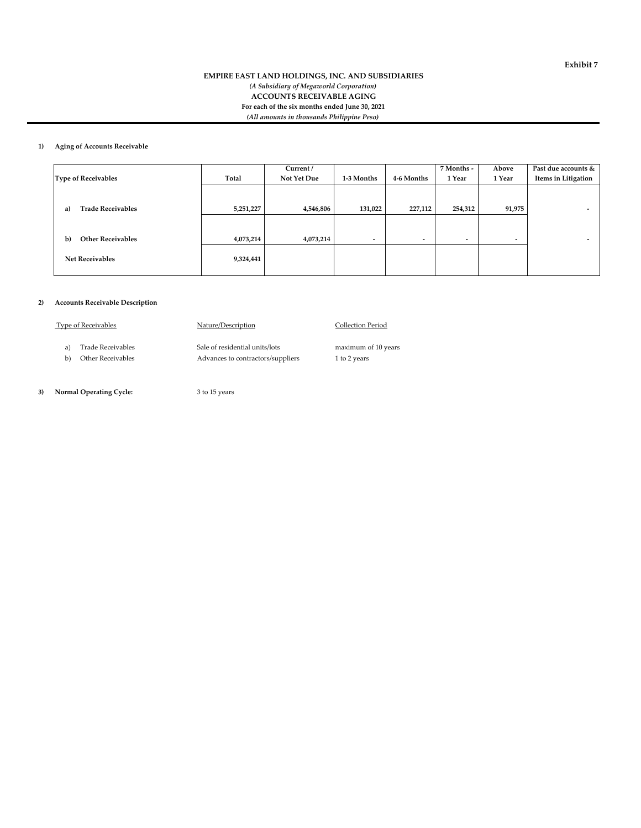#### **EMPIRE EAST LAND HOLDINGS, INC. AND SUBSIDIARIES** *(A Subsidiary of Megaworld Corporation)* **ACCOUNTS RECEIVABLE AGING For each of the six months ended June 30, 2021** *(All amounts in thousands Philippine Peso)*

#### **1) Aging of Accounts Receivable**

|                                |           | Current /   |                          |                          | 7 Months -               | Above                    | Past due accounts &      |
|--------------------------------|-----------|-------------|--------------------------|--------------------------|--------------------------|--------------------------|--------------------------|
| <b>Type of Receivables</b>     | Total     | Not Yet Due | 1-3 Months               | 4-6 Months               | 1 Year                   | 1 Year                   | Items in Litigation      |
|                                |           |             |                          |                          |                          |                          |                          |
|                                |           |             |                          |                          |                          |                          |                          |
| <b>Trade Receivables</b><br>a) | 5,251,227 | 4,546,806   | 131,022                  | 227,112                  | 254,312                  | 91,975                   |                          |
|                                |           |             |                          |                          |                          |                          |                          |
|                                |           |             |                          |                          |                          |                          |                          |
| <b>Other Receivables</b><br>b) | 4,073,214 | 4,073,214   | $\overline{\phantom{a}}$ | $\overline{\phantom{a}}$ | $\overline{\phantom{a}}$ | $\overline{\phantom{0}}$ | $\overline{\phantom{a}}$ |
|                                |           |             |                          |                          |                          |                          |                          |
| <b>Net Receivables</b>         | 9,324,441 |             |                          |                          |                          |                          |                          |
|                                |           |             |                          |                          |                          |                          |                          |

#### **2) Accounts Receivable Description**

| Type of Receivables | Nature/Description                |                     |
|---------------------|-----------------------------------|---------------------|
| Trade Receivables   | Sale of residential units/lots    | maximum of 10 years |
| Other Receivables   | Advances to contractors/suppliers | 1 to 2 years        |
|                     |                                   |                     |

 **3) Normal Operating Cycle:** 3 to 15 years